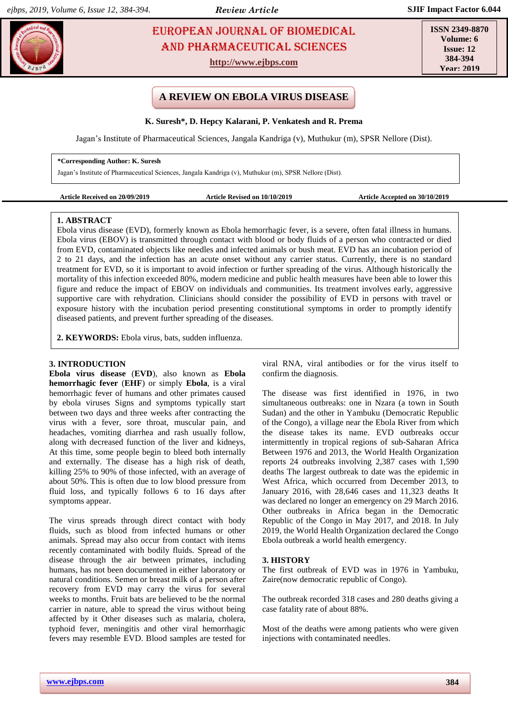# **EUROPEAN JOURNAL OF BIOMEDICAL AND SEX 23** AND Pharmaceutical sciences

**http://www.ejbps.com**

**ISSN 2349-8870 Volume: 6 Issue: 12 384-394 Year: 2019**

# **A REVIEW ON EBOLA VIRUS DISEASE**

**K. Suresh\*, D. Hepcy Kalarani, P. Venkatesh and R. Prema**

Jagan's Institute of Pharmaceutical Sciences, Jangala Kandriga (v), Muthukur (m), SPSR Nellore (Dist).

#### **\*Corresponding Author: K. Suresh**

Jagan's Institute of Pharmaceutical Sciences, Jangala Kandriga (v), Muthukur (m), SPSR Nellore (Dist).

| Article Received on 20/09/2019 |  |
|--------------------------------|--|
|--------------------------------|--|

Article Revised on 10/10/2019 **Article Accepted on 30/10/2019** 

#### **1. ABSTRACT**

Ebola virus disease (EVD), formerly known as Ebola hemorrhagic fever, is a severe, often fatal illness in humans. Ebola virus (EBOV) is transmitted through contact with blood or body fluids of a person who contracted or died from EVD, contaminated objects like needles and infected animals or bush meat. EVD has an incubation period of 2 to 21 days, and the infection has an acute onset without any carrier status. Currently, there is no standard treatment for EVD, so it is important to avoid infection or further spreading of the virus. Although historically the mortality of this infection exceeded 80%, modern medicine and public health measures have been able to lower this figure and reduce the impact of EBOV on individuals and communities. Its treatment involves early, aggressive supportive care with rehydration. Clinicians should consider the possibility of EVD in persons with travel or exposure history with the incubation period presenting constitutional symptoms in order to promptly identify diseased patients, and prevent further spreading of the diseases.

**2. KEYWORDS:** Ebola virus, bats, sudden influenza.

### **3. INTRODUCTION**

**Ebola virus disease** (**EVD**), also known as **Ebola hemorrhagic fever** (**EHF**) or simply **Ebola**, is a [viral](mhtml:file://C:/Users/Bala%20Gangadhar/AppData/Local/Temp/WPDNSE/%7b81A06C18-0000-0000-0000-000000000000%7d/Ebola%20virus%20disease%20-%20Wikipedia.mhtml!https://en.m.wikipedia.org/wiki/Viral_hemorrhagic_fever)  [hemorrhagic fever](mhtml:file://C:/Users/Bala%20Gangadhar/AppData/Local/Temp/WPDNSE/%7b81A06C18-0000-0000-0000-000000000000%7d/Ebola%20virus%20disease%20-%20Wikipedia.mhtml!https://en.m.wikipedia.org/wiki/Viral_hemorrhagic_fever) of humans and other [primates](mhtml:file://C:/Users/Bala%20Gangadhar/AppData/Local/Temp/WPDNSE/%7b81A06C18-0000-0000-0000-000000000000%7d/Ebola%20virus%20disease%20-%20Wikipedia.mhtml!https://en.m.wikipedia.org/wiki/Primate) caused by ebola [viruses](mhtml:file://C:/Users/Bala%20Gangadhar/AppData/Local/Temp/WPDNSE/%7b81A06C18-0000-0000-0000-000000000000%7d/Ebola%20virus%20disease%20-%20Wikipedia.mhtml!https://en.m.wikipedia.org/wiki/Ebolavirus) Signs and symptoms typically start between two days and three weeks after contracting the virus with a [fever,](mhtml:file://C:/Users/Bala%20Gangadhar/AppData/Local/Temp/WPDNSE/%7b81A06C18-0000-0000-0000-000000000000%7d/Ebola%20virus%20disease%20-%20Wikipedia.mhtml!https://en.m.wikipedia.org/wiki/Fever) [sore throat,](mhtml:file://C:/Users/Bala%20Gangadhar/AppData/Local/Temp/WPDNSE/%7b81A06C18-0000-0000-0000-000000000000%7d/Ebola%20virus%20disease%20-%20Wikipedia.mhtml!https://en.m.wikipedia.org/wiki/Sore_throat) [muscular pain,](mhtml:file://C:/Users/Bala%20Gangadhar/AppData/Local/Temp/WPDNSE/%7b81A06C18-0000-0000-0000-000000000000%7d/Ebola%20virus%20disease%20-%20Wikipedia.mhtml!https://en.m.wikipedia.org/wiki/Myalgia) and [headaches,](mhtml:file://C:/Users/Bala%20Gangadhar/AppData/Local/Temp/WPDNSE/%7b81A06C18-0000-0000-0000-000000000000%7d/Ebola%20virus%20disease%20-%20Wikipedia.mhtml!https://en.m.wikipedia.org/wiki/Headache) vomiting [diarrhea](mhtml:file://C:/Users/Bala%20Gangadhar/AppData/Local/Temp/WPDNSE/%7b81A06C18-0000-0000-0000-000000000000%7d/Ebola%20virus%20disease%20-%20Wikipedia.mhtml!https://en.m.wikipedia.org/wiki/Diarrhea) and [rash](mhtml:file://C:/Users/Bala%20Gangadhar/AppData/Local/Temp/WPDNSE/%7b81A06C18-0000-0000-0000-000000000000%7d/Ebola%20virus%20disease%20-%20Wikipedia.mhtml!https://en.m.wikipedia.org/wiki/Rash) usually follow, along with decreased function of the [liver](mhtml:file://C:/Users/Bala%20Gangadhar/AppData/Local/Temp/WPDNSE/%7b81A06C18-0000-0000-0000-000000000000%7d/Ebola%20virus%20disease%20-%20Wikipedia.mhtml!https://en.m.wikipedia.org/wiki/Liver) and [kidneys,](mhtml:file://C:/Users/Bala%20Gangadhar/AppData/Local/Temp/WPDNSE/%7b81A06C18-0000-0000-0000-000000000000%7d/Ebola%20virus%20disease%20-%20Wikipedia.mhtml!https://en.m.wikipedia.org/wiki/Kidney) At this time, some people begin to [bleed](mhtml:file://C:/Users/Bala%20Gangadhar/AppData/Local/Temp/WPDNSE/%7b81A06C18-0000-0000-0000-000000000000%7d/Ebola%20virus%20disease%20-%20Wikipedia.mhtml!https://en.m.wikipedia.org/wiki/Bleeding) both [internally](mhtml:file://C:/Users/Bala%20Gangadhar/AppData/Local/Temp/WPDNSE/%7b81A06C18-0000-0000-0000-000000000000%7d/Ebola%20virus%20disease%20-%20Wikipedia.mhtml!https://en.m.wikipedia.org/wiki/Internal_bleeding) and externally. The disease has a high risk of death, killing 25% to 90% of those infected, with an average of about 50%. This is often due to [low blood pressure from](mhtml:file://C:/Users/Bala%20Gangadhar/AppData/Local/Temp/WPDNSE/%7b81A06C18-0000-0000-0000-000000000000%7d/Ebola%20virus%20disease%20-%20Wikipedia.mhtml!https://en.m.wikipedia.org/wiki/Hypovolemic_shock)  [fluid loss,](mhtml:file://C:/Users/Bala%20Gangadhar/AppData/Local/Temp/WPDNSE/%7b81A06C18-0000-0000-0000-000000000000%7d/Ebola%20virus%20disease%20-%20Wikipedia.mhtml!https://en.m.wikipedia.org/wiki/Hypovolemic_shock) and typically follows 6 to 16 days after symptoms appear.

The virus spreads through direct contact with [body](mhtml:file://C:/Users/Bala%20Gangadhar/AppData/Local/Temp/WPDNSE/%7b81A06C18-0000-0000-0000-000000000000%7d/Ebola%20virus%20disease%20-%20Wikipedia.mhtml!https://en.m.wikipedia.org/wiki/Body_fluid)  [fluids,](mhtml:file://C:/Users/Bala%20Gangadhar/AppData/Local/Temp/WPDNSE/%7b81A06C18-0000-0000-0000-000000000000%7d/Ebola%20virus%20disease%20-%20Wikipedia.mhtml!https://en.m.wikipedia.org/wiki/Body_fluid) such as [blood](mhtml:file://C:/Users/Bala%20Gangadhar/AppData/Local/Temp/WPDNSE/%7b81A06C18-0000-0000-0000-000000000000%7d/Ebola%20virus%20disease%20-%20Wikipedia.mhtml!https://en.m.wikipedia.org/wiki/Blood) from infected humans or other animals. Spread may also occur from contact with items recently contaminated with bodily fluids. Spread of the disease through the air between [primates,](mhtml:file://C:/Users/Bala%20Gangadhar/AppData/Local/Temp/WPDNSE/%7b81A06C18-0000-0000-0000-000000000000%7d/Ebola%20virus%20disease%20-%20Wikipedia.mhtml!https://en.m.wikipedia.org/wiki/Primate) including humans, has not been documented in either laboratory or natural conditions. [Semen](mhtml:file://C:/Users/Bala%20Gangadhar/AppData/Local/Temp/WPDNSE/%7b81A06C18-0000-0000-0000-000000000000%7d/Ebola%20virus%20disease%20-%20Wikipedia.mhtml!https://en.m.wikipedia.org/wiki/Semen) or [breast milk](mhtml:file://C:/Users/Bala%20Gangadhar/AppData/Local/Temp/WPDNSE/%7b81A06C18-0000-0000-0000-000000000000%7d/Ebola%20virus%20disease%20-%20Wikipedia.mhtml!https://en.m.wikipedia.org/wiki/Breast_milk) of a person after recovery from EVD may carry the virus for several weeks to months. [Fruit bats](mhtml:file://C:/Users/Bala%20Gangadhar/AppData/Local/Temp/WPDNSE/%7b81A06C18-0000-0000-0000-000000000000%7d/Ebola%20virus%20disease%20-%20Wikipedia.mhtml!https://en.m.wikipedia.org/wiki/Megabat) are believed to be the normal [carrier in nature,](mhtml:file://C:/Users/Bala%20Gangadhar/AppData/Local/Temp/WPDNSE/%7b81A06C18-0000-0000-0000-000000000000%7d/Ebola%20virus%20disease%20-%20Wikipedia.mhtml!https://en.m.wikipedia.org/wiki/Natural_host) able to spread the virus without being affected by it Other diseases such as [malaria,](mhtml:file://C:/Users/Bala%20Gangadhar/AppData/Local/Temp/WPDNSE/%7b81A06C18-0000-0000-0000-000000000000%7d/Ebola%20virus%20disease%20-%20Wikipedia.mhtml!https://en.m.wikipedia.org/wiki/Malaria) [cholera,](mhtml:file://C:/Users/Bala%20Gangadhar/AppData/Local/Temp/WPDNSE/%7b81A06C18-0000-0000-0000-000000000000%7d/Ebola%20virus%20disease%20-%20Wikipedia.mhtml!https://en.m.wikipedia.org/wiki/Cholera) [typhoid fever,](mhtml:file://C:/Users/Bala%20Gangadhar/AppData/Local/Temp/WPDNSE/%7b81A06C18-0000-0000-0000-000000000000%7d/Ebola%20virus%20disease%20-%20Wikipedia.mhtml!https://en.m.wikipedia.org/wiki/Typhoid_fever) [meningitis](mhtml:file://C:/Users/Bala%20Gangadhar/AppData/Local/Temp/WPDNSE/%7b81A06C18-0000-0000-0000-000000000000%7d/Ebola%20virus%20disease%20-%20Wikipedia.mhtml!https://en.m.wikipedia.org/wiki/Meningitis) and other viral hemorrhagic fevers may resemble EVD. Blood samples are tested for viral [RNA,](mhtml:file://C:/Users/Bala%20Gangadhar/AppData/Local/Temp/WPDNSE/%7b81A06C18-0000-0000-0000-000000000000%7d/Ebola%20virus%20disease%20-%20Wikipedia.mhtml!https://en.m.wikipedia.org/wiki/RNA) viral [antibodies](mhtml:file://C:/Users/Bala%20Gangadhar/AppData/Local/Temp/WPDNSE/%7b81A06C18-0000-0000-0000-000000000000%7d/Ebola%20virus%20disease%20-%20Wikipedia.mhtml!https://en.m.wikipedia.org/wiki/Antibodies) or for the virus itself to confirm the diagnosis.

The disease was first identified in 1976, in two simultaneous outbreaks: one in [Nzara](mhtml:file://C:/Users/Bala%20Gangadhar/AppData/Local/Temp/WPDNSE/%7b81A06C18-0000-0000-0000-000000000000%7d/Ebola%20virus%20disease%20-%20Wikipedia.mhtml!https://en.m.wikipedia.org/wiki/Nzara) (a town in [South](mhtml:file://C:/Users/Bala%20Gangadhar/AppData/Local/Temp/WPDNSE/%7b81A06C18-0000-0000-0000-000000000000%7d/Ebola%20virus%20disease%20-%20Wikipedia.mhtml!https://en.m.wikipedia.org/wiki/South_Sudan)  [Sudan\)](mhtml:file://C:/Users/Bala%20Gangadhar/AppData/Local/Temp/WPDNSE/%7b81A06C18-0000-0000-0000-000000000000%7d/Ebola%20virus%20disease%20-%20Wikipedia.mhtml!https://en.m.wikipedia.org/wiki/South_Sudan) and the other in [Yambuku](mhtml:file://C:/Users/Bala%20Gangadhar/AppData/Local/Temp/WPDNSE/%7b81A06C18-0000-0000-0000-000000000000%7d/Ebola%20virus%20disease%20-%20Wikipedia.mhtml!https://en.m.wikipedia.org/wiki/Yambuku) [\(Democratic Republic](mhtml:file://C:/Users/Bala%20Gangadhar/AppData/Local/Temp/WPDNSE/%7b81A06C18-0000-0000-0000-000000000000%7d/Ebola%20virus%20disease%20-%20Wikipedia.mhtml!https://en.m.wikipedia.org/wiki/Democratic_Republic_of_the_Congo)  [of the Congo\)](mhtml:file://C:/Users/Bala%20Gangadhar/AppData/Local/Temp/WPDNSE/%7b81A06C18-0000-0000-0000-000000000000%7d/Ebola%20virus%20disease%20-%20Wikipedia.mhtml!https://en.m.wikipedia.org/wiki/Democratic_Republic_of_the_Congo), a village near the [Ebola River](mhtml:file://C:/Users/Bala%20Gangadhar/AppData/Local/Temp/WPDNSE/%7b81A06C18-0000-0000-0000-000000000000%7d/Ebola%20virus%20disease%20-%20Wikipedia.mhtml!https://en.m.wikipedia.org/wiki/Ebola_River) from which the disease takes its name. [EVD outbreaks](mhtml:file://C:/Users/Bala%20Gangadhar/AppData/Local/Temp/WPDNSE/%7b81A06C18-0000-0000-0000-000000000000%7d/Ebola%20virus%20disease%20-%20Wikipedia.mhtml!https://en.m.wikipedia.org/wiki/List_of_Ebola_outbreaks) occur intermittently in tropical regions of [sub-Saharan Africa](mhtml:file://C:/Users/Bala%20Gangadhar/AppData/Local/Temp/WPDNSE/%7b81A06C18-0000-0000-0000-000000000000%7d/Ebola%20virus%20disease%20-%20Wikipedia.mhtml!https://en.m.wikipedia.org/wiki/Sub-Saharan_Africa) Between 1976 and 2013, the [World Health Organization](mhtml:file://C:/Users/Bala%20Gangadhar/AppData/Local/Temp/WPDNSE/%7b81A06C18-0000-0000-0000-000000000000%7d/Ebola%20virus%20disease%20-%20Wikipedia.mhtml!https://en.m.wikipedia.org/wiki/World_Health_Organization) reports 24 outbreaks involving [2,387 cases with 1,590](mhtml:file://C:/Users/Bala%20Gangadhar/AppData/Local/Temp/WPDNSE/%7b81A06C18-0000-0000-0000-000000000000%7d/Ebola%20virus%20disease%20-%20Wikipedia.mhtml!https://en.m.wikipedia.org/wiki/List_of_Ebola_outbreaks)  [deaths](mhtml:file://C:/Users/Bala%20Gangadhar/AppData/Local/Temp/WPDNSE/%7b81A06C18-0000-0000-0000-000000000000%7d/Ebola%20virus%20disease%20-%20Wikipedia.mhtml!https://en.m.wikipedia.org/wiki/List_of_Ebola_outbreaks) The largest outbreak to date was the [epidemic in](mhtml:file://C:/Users/Bala%20Gangadhar/AppData/Local/Temp/WPDNSE/%7b81A06C18-0000-0000-0000-000000000000%7d/Ebola%20virus%20disease%20-%20Wikipedia.mhtml!https://en.m.wikipedia.org/wiki/Ebola_virus_epidemic_in_West_Africa)  [West Africa,](mhtml:file://C:/Users/Bala%20Gangadhar/AppData/Local/Temp/WPDNSE/%7b81A06C18-0000-0000-0000-000000000000%7d/Ebola%20virus%20disease%20-%20Wikipedia.mhtml!https://en.m.wikipedia.org/wiki/Ebola_virus_epidemic_in_West_Africa) which occurred from December 2013, to January 2016, with 28,646 cases and 11,323 deaths It was declared no longer an emergency on 29 March 2016. Other outbreaks in Africa began in the Democratic Republic of the Congo in May 2017, and 2018. In July 2019, the World Health Organization declared the Congo Ebola outbreak [a world health emergency.](mhtml:file://C:/Users/Bala%20Gangadhar/AppData/Local/Temp/WPDNSE/%7b81A06C18-0000-0000-0000-000000000000%7d/Ebola%20virus%20disease%20-%20Wikipedia.mhtml!https://en.m.wikipedia.org/wiki/Public_health_emergency_of_international_concern)

#### **3. HISTORY**

The first outbreak of EVD was in 1976 in Yambuku, Zaire(now democratic republic of Congo).

The outbreak recorded 318 cases and 280 deaths giving a case fatality rate of about 88%.

Most of the deaths were among patients who were given injections with contaminated needles.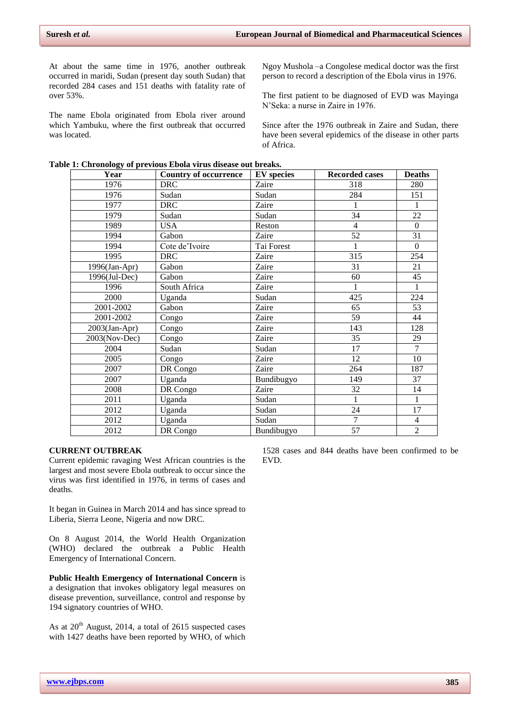At about the same time in 1976, another outbreak occurred in maridi, Sudan (present day south Sudan) that recorded 284 cases and 151 deaths with fatality rate of over 53%.

The name Ebola originated from Ebola river around which Yambuku, where the first outbreak that occurred was located.

Ngoy Mushola –a Congolese medical doctor was the first person to record a description of the Ebola virus in 1976.

The first patient to be diagnosed of EVD was Mayinga N'Seka: a nurse in Zaire in 1976.

Since after the 1976 outbreak in Zaire and Sudan, there have been several epidemics of the disease in other parts of Africa.

| Year             | <b>Country of occurrence</b> | <b>EV</b> species | <b>Recorded cases</b> | <b>Deaths</b>  |
|------------------|------------------------------|-------------------|-----------------------|----------------|
| 1976             | <b>DRC</b>                   | Zaire             | 318                   | 280            |
| 1976             | Sudan                        | Sudan             | 284                   | 151            |
| 1977             | <b>DRC</b>                   | Zaire             | 1                     | $\mathbf{1}$   |
| 1979             | Sudan                        | Sudan             | 34                    | 22             |
| 1989             | <b>USA</b>                   | Reston            | $\overline{4}$        | $\Omega$       |
| 1994             | Gabon                        | Zaire             | 52                    | 31             |
| 1994             | Cote de'Ivoire               | Tai Forest        | 1                     | $\Omega$       |
| 1995             | <b>DRC</b>                   | Zaire             | 315                   | 254            |
| 1996(Jan-Apr)    | Gabon                        | Zaire             | 31                    | 21             |
| 1996(Jul-Dec)    | Gabon                        | Zaire             | 60                    | 45             |
| 1996             | South Africa                 | Zaire             | 1                     | 1              |
| 2000             | Uganda                       | Sudan             | 425                   | 224            |
| 2001-2002        | Gabon                        | Zaire             | 65                    | 53             |
| 2001-2002        | Congo                        | Zaire             | 59                    | 44             |
| $2003$ (Jan-Apr) | Congo                        | Zaire             | 143                   | 128            |
| 2003(Nov-Dec)    | Congo                        | Zaire             | 35                    | 29             |
| 2004             | Sudan                        | Sudan             | 17                    | $\overline{7}$ |
| 2005             | Congo                        | Zaire             | 12                    | 10             |
| 2007             | DR Congo                     | Zaire             | 264                   | 187            |
| 2007             | Uganda                       | Bundibugyo        | 149                   | 37             |
| 2008             | DR Congo                     | Zaire             | 32                    | 14             |
| 2011             | Uganda                       | Sudan             | 1                     | 1              |
| 2012             | Uganda                       | Sudan             | 24                    | 17             |
| 2012             | Uganda                       | Sudan             | $\overline{7}$        | 4              |
| 2012             | DR Congo                     | Bundibugyo        | 57                    | $\overline{2}$ |

#### **Table 1: Chronology of previous Ebola virus disease out breaks.**

# **CURRENT OUTBREAK**

Current epidemic ravaging West African countries is the largest and most severe Ebola outbreak to occur since the virus was first identified in 1976, in terms of cases and deaths.

It began in Guinea in March 2014 and has since spread to Liberia, Sierra Leone, Nigeria and now DRC.

On 8 August 2014, the World Health Organization (WHO) declared the outbreak a Public Health Emergency of International Concern.

**Public Health Emergency of International Concern** is a designation that invokes obligatory legal measures on disease prevention, surveillance, control and response by 194 signatory countries of WHO.

As at  $20<sup>th</sup>$  August, 2014, a total of 2615 suspected cases with 1427 deaths have been reported by WHO, of which

1528 cases and 844 deaths have been confirmed to be EVD.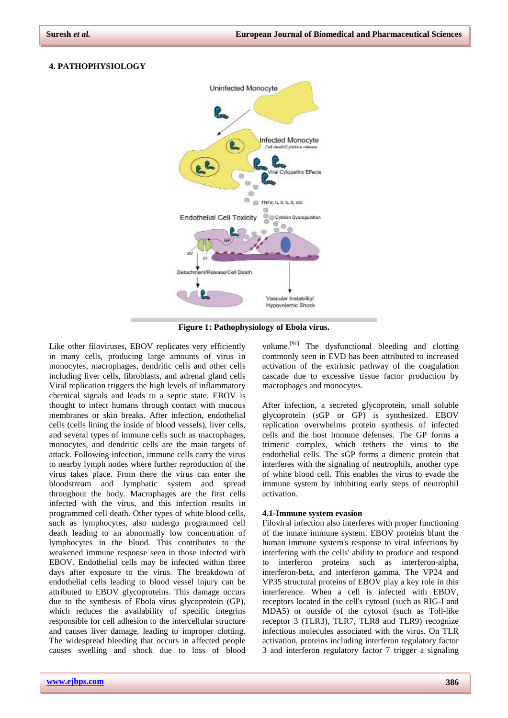#### **4. PATHOPHYSIOLOGY**



**Figure 1: Pathophysiology of Ebola virus.**

Like other [filoviruses,](mhtml:file://C:/Users/Bala%20Gangadhar/AppData/Local/Temp/WPDNSE/%7b81A06C18-0000-0000-0000-000000000000%7d/Ebola%20virus%20disease%20-%20Wikipedia.mhtml!https://en.m.wikipedia.org/wiki/Filoviridae) EBOV replicates very efficiently in many [cells,](mhtml:file://C:/Users/Bala%20Gangadhar/AppData/Local/Temp/WPDNSE/%7b81A06C18-0000-0000-0000-000000000000%7d/Ebola%20virus%20disease%20-%20Wikipedia.mhtml!https://en.m.wikipedia.org/wiki/List_of_distinct_cell_types_in_the_adult_human_body) producing large amounts of virus in [monocytes,](mhtml:file://C:/Users/Bala%20Gangadhar/AppData/Local/Temp/WPDNSE/%7b81A06C18-0000-0000-0000-000000000000%7d/Ebola%20virus%20disease%20-%20Wikipedia.mhtml!https://en.m.wikipedia.org/wiki/Monocyte) [macrophages,](mhtml:file://C:/Users/Bala%20Gangadhar/AppData/Local/Temp/WPDNSE/%7b81A06C18-0000-0000-0000-000000000000%7d/Ebola%20virus%20disease%20-%20Wikipedia.mhtml!https://en.m.wikipedia.org/wiki/Macrophage) [dendritic cells](mhtml:file://C:/Users/Bala%20Gangadhar/AppData/Local/Temp/WPDNSE/%7b81A06C18-0000-0000-0000-000000000000%7d/Ebola%20virus%20disease%20-%20Wikipedia.mhtml!https://en.m.wikipedia.org/wiki/Dendritic_cell) and other cells including [liver cells,](mhtml:file://C:/Users/Bala%20Gangadhar/AppData/Local/Temp/WPDNSE/%7b81A06C18-0000-0000-0000-000000000000%7d/Ebola%20virus%20disease%20-%20Wikipedia.mhtml!https://en.m.wikipedia.org/wiki/Hepatocyte) [fibroblasts,](mhtml:file://C:/Users/Bala%20Gangadhar/AppData/Local/Temp/WPDNSE/%7b81A06C18-0000-0000-0000-000000000000%7d/Ebola%20virus%20disease%20-%20Wikipedia.mhtml!https://en.m.wikipedia.org/wiki/Fibroblast) and [adrenal gland cells](mhtml:file://C:/Users/Bala%20Gangadhar/AppData/Local/Temp/WPDNSE/%7b81A06C18-0000-0000-0000-000000000000%7d/Ebola%20virus%20disease%20-%20Wikipedia.mhtml!https://en.m.wikipedia.org/wiki/Adrenal_gland) Viral replication triggers the [high levels of inflammatory](mhtml:file://C:/Users/Bala%20Gangadhar/AppData/Local/Temp/WPDNSE/%7b81A06C18-0000-0000-0000-000000000000%7d/Ebola%20virus%20disease%20-%20Wikipedia.mhtml!https://en.m.wikipedia.org/wiki/Cytokine_storm)  [chemical signals](mhtml:file://C:/Users/Bala%20Gangadhar/AppData/Local/Temp/WPDNSE/%7b81A06C18-0000-0000-0000-000000000000%7d/Ebola%20virus%20disease%20-%20Wikipedia.mhtml!https://en.m.wikipedia.org/wiki/Cytokine_storm) and leads to a [septic state.](mhtml:file://C:/Users/Bala%20Gangadhar/AppData/Local/Temp/WPDNSE/%7b81A06C18-0000-0000-0000-000000000000%7d/Ebola%20virus%20disease%20-%20Wikipedia.mhtml!https://en.m.wikipedia.org/wiki/Sepsis) EBOV is thought to infect humans through contact with mucous membranes or skin breaks. After infection, [endothelial](mhtml:file://C:/Users/Bala%20Gangadhar/AppData/Local/Temp/WPDNSE/%7b81A06C18-0000-0000-0000-000000000000%7d/Ebola%20virus%20disease%20-%20Wikipedia.mhtml!https://en.m.wikipedia.org/wiki/Endothelial_cells)  [cells](mhtml:file://C:/Users/Bala%20Gangadhar/AppData/Local/Temp/WPDNSE/%7b81A06C18-0000-0000-0000-000000000000%7d/Ebola%20virus%20disease%20-%20Wikipedia.mhtml!https://en.m.wikipedia.org/wiki/Endothelial_cells) (cells lining the inside of blood vessels), liver cells, and several types of immune cells such as [macrophages,](mhtml:file://C:/Users/Bala%20Gangadhar/AppData/Local/Temp/WPDNSE/%7b81A06C18-0000-0000-0000-000000000000%7d/Ebola%20virus%20disease%20-%20Wikipedia.mhtml!https://en.m.wikipedia.org/wiki/Mononuclear_phagocyte_system)  [monocytes,](mhtml:file://C:/Users/Bala%20Gangadhar/AppData/Local/Temp/WPDNSE/%7b81A06C18-0000-0000-0000-000000000000%7d/Ebola%20virus%20disease%20-%20Wikipedia.mhtml!https://en.m.wikipedia.org/wiki/Mononuclear_phagocyte_system) and [dendritic cells](mhtml:file://C:/Users/Bala%20Gangadhar/AppData/Local/Temp/WPDNSE/%7b81A06C18-0000-0000-0000-000000000000%7d/Ebola%20virus%20disease%20-%20Wikipedia.mhtml!https://en.m.wikipedia.org/wiki/Dendritic_cells) are the main targets of attack. Following infection, immune cells carry the virus to nearby [lymph nodes](mhtml:file://C:/Users/Bala%20Gangadhar/AppData/Local/Temp/WPDNSE/%7b81A06C18-0000-0000-0000-000000000000%7d/Ebola%20virus%20disease%20-%20Wikipedia.mhtml!https://en.m.wikipedia.org/wiki/Lymph_node) where further reproduction of the virus takes place. From there the virus can enter the bloodstream and [lymphatic system](mhtml:file://C:/Users/Bala%20Gangadhar/AppData/Local/Temp/WPDNSE/%7b81A06C18-0000-0000-0000-000000000000%7d/Ebola%20virus%20disease%20-%20Wikipedia.mhtml!https://en.m.wikipedia.org/wiki/Lymphatic_system) and spread throughout the body. Macrophages are the first cells infected with the virus, and this infection results in [programmed cell death.](mhtml:file://C:/Users/Bala%20Gangadhar/AppData/Local/Temp/WPDNSE/%7b81A06C18-0000-0000-0000-000000000000%7d/Ebola%20virus%20disease%20-%20Wikipedia.mhtml!https://en.m.wikipedia.org/wiki/Apoptosis) Other types of [white blood cells,](mhtml:file://C:/Users/Bala%20Gangadhar/AppData/Local/Temp/WPDNSE/%7b81A06C18-0000-0000-0000-000000000000%7d/Ebola%20virus%20disease%20-%20Wikipedia.mhtml!https://en.m.wikipedia.org/wiki/White_blood_cell) such as [lymphocytes,](mhtml:file://C:/Users/Bala%20Gangadhar/AppData/Local/Temp/WPDNSE/%7b81A06C18-0000-0000-0000-000000000000%7d/Ebola%20virus%20disease%20-%20Wikipedia.mhtml!https://en.m.wikipedia.org/wiki/Lymphocyte) also undergo programmed cell death leading to an abnormally [low concentration of](mhtml:file://C:/Users/Bala%20Gangadhar/AppData/Local/Temp/WPDNSE/%7b81A06C18-0000-0000-0000-000000000000%7d/Ebola%20virus%20disease%20-%20Wikipedia.mhtml!https://en.m.wikipedia.org/wiki/Lymphocytopenia)  [lymphocytes](mhtml:file://C:/Users/Bala%20Gangadhar/AppData/Local/Temp/WPDNSE/%7b81A06C18-0000-0000-0000-000000000000%7d/Ebola%20virus%20disease%20-%20Wikipedia.mhtml!https://en.m.wikipedia.org/wiki/Lymphocytopenia) in the blood. This contributes to the weakened immune response seen in those infected with EBOV. Endothelial cells may be infected within three days after exposure to the virus. The breakdown of endothelial cells leading to [blood vessel](mhtml:file://C:/Users/Bala%20Gangadhar/AppData/Local/Temp/WPDNSE/%7b81A06C18-0000-0000-0000-000000000000%7d/Ebola%20virus%20disease%20-%20Wikipedia.mhtml!https://en.m.wikipedia.org/wiki/Blood_vessel) injury can be attributed to EBOV [glycoproteins.](mhtml:file://C:/Users/Bala%20Gangadhar/AppData/Local/Temp/WPDNSE/%7b81A06C18-0000-0000-0000-000000000000%7d/Ebola%20virus%20disease%20-%20Wikipedia.mhtml!https://en.m.wikipedia.org/wiki/Glycoprotein) This damage occurs due to the synthesis of Ebola virus [glycoprotein](mhtml:file://C:/Users/Bala%20Gangadhar/AppData/Local/Temp/WPDNSE/%7b81A06C18-0000-0000-0000-000000000000%7d/Ebola%20virus%20disease%20-%20Wikipedia.mhtml!https://en.m.wikipedia.org/wiki/Glycoprotein) (GP), which reduces the availability of specific [integrins](mhtml:file://C:/Users/Bala%20Gangadhar/AppData/Local/Temp/WPDNSE/%7b81A06C18-0000-0000-0000-000000000000%7d/Ebola%20virus%20disease%20-%20Wikipedia.mhtml!https://en.m.wikipedia.org/wiki/Integrin) responsible for cell adhesion to the intercellular structure and causes liver damage, leading to [improper clotting.](mhtml:file://C:/Users/Bala%20Gangadhar/AppData/Local/Temp/WPDNSE/%7b81A06C18-0000-0000-0000-000000000000%7d/Ebola%20virus%20disease%20-%20Wikipedia.mhtml!https://en.m.wikipedia.org/wiki/Coagulopathy) The widespread [bleeding](mhtml:file://C:/Users/Bala%20Gangadhar/AppData/Local/Temp/WPDNSE/%7b81A06C18-0000-0000-0000-000000000000%7d/Ebola%20virus%20disease%20-%20Wikipedia.mhtml!https://en.m.wikipedia.org/wiki/Bleeding) that occurs in affected people causes [swelling](mhtml:file://C:/Users/Bala%20Gangadhar/AppData/Local/Temp/WPDNSE/%7b81A06C18-0000-0000-0000-000000000000%7d/Ebola%20virus%20disease%20-%20Wikipedia.mhtml!https://en.m.wikipedia.org/wiki/Edema) and [shock due to loss of blood](mhtml:file://C:/Users/Bala%20Gangadhar/AppData/Local/Temp/WPDNSE/%7b81A06C18-0000-0000-0000-000000000000%7d/Ebola%20virus%20disease%20-%20Wikipedia.mhtml!https://en.m.wikipedia.org/wiki/Hypovolemic_shock) 

activation of the [extrinsic pathway](mhtml:file://C:/Users/Bala%20Gangadhar/AppData/Local/Temp/WPDNSE/%7b81A06C18-0000-0000-0000-000000000000%7d/Ebola%20virus%20disease%20-%20Wikipedia.mhtml!https://en.m.wikipedia.org/wiki/Tissue_factor_pathway) of the [coagulation](mhtml:file://C:/Users/Bala%20Gangadhar/AppData/Local/Temp/WPDNSE/%7b81A06C18-0000-0000-0000-000000000000%7d/Ebola%20virus%20disease%20-%20Wikipedia.mhtml!https://en.m.wikipedia.org/wiki/Coagulation_cascade)  [cascade](mhtml:file://C:/Users/Bala%20Gangadhar/AppData/Local/Temp/WPDNSE/%7b81A06C18-0000-0000-0000-000000000000%7d/Ebola%20virus%20disease%20-%20Wikipedia.mhtml!https://en.m.wikipedia.org/wiki/Coagulation_cascade) due to excessive [tissue factor](mhtml:file://C:/Users/Bala%20Gangadhar/AppData/Local/Temp/WPDNSE/%7b81A06C18-0000-0000-0000-000000000000%7d/Ebola%20virus%20disease%20-%20Wikipedia.mhtml!https://en.m.wikipedia.org/wiki/Tissue_factor) production by macrophages and monocytes. After infection, a secreted [glycoprotein,](mhtml:file://C:/Users/Bala%20Gangadhar/AppData/Local/Temp/WPDNSE/%7b81A06C18-0000-0000-0000-000000000000%7d/Ebola%20virus%20disease%20-%20Wikipedia.mhtml!https://en.m.wikipedia.org/wiki/Glycoprotein) small soluble glycoprotein (sGP or GP) is synthesized. EBOV

replication overwhelms protein synthesis of infected cells and the host immune defenses. The GP forms a [trimeric complex,](mhtml:file://C:/Users/Bala%20Gangadhar/AppData/Local/Temp/WPDNSE/%7b81A06C18-0000-0000-0000-000000000000%7d/Ebola%20virus%20disease%20-%20Wikipedia.mhtml!https://en.m.wikipedia.org/wiki/Trimer_(biochemistry)) which tethers the virus to the endothelial cells. The sGP forms a [dimeric protein](mhtml:file://C:/Users/Bala%20Gangadhar/AppData/Local/Temp/WPDNSE/%7b81A06C18-0000-0000-0000-000000000000%7d/Ebola%20virus%20disease%20-%20Wikipedia.mhtml!https://en.m.wikipedia.org/wiki/Protein_dimer) that interferes with the signaling of [neutrophils,](mhtml:file://C:/Users/Bala%20Gangadhar/AppData/Local/Temp/WPDNSE/%7b81A06C18-0000-0000-0000-000000000000%7d/Ebola%20virus%20disease%20-%20Wikipedia.mhtml!https://en.m.wikipedia.org/wiki/Neutrophils) another type of white blood cell. This enables the virus to evade the immune system by inhibiting early steps of neutrophil activation.

[volume.](mhtml:file://C:/Users/Bala%20Gangadhar/AppData/Local/Temp/WPDNSE/%7b81A06C18-0000-0000-0000-000000000000%7d/Ebola%20virus%20disease%20-%20Wikipedia.mhtml!https://en.m.wikipedia.org/wiki/Hypovolemic_shock)<sup>[\[91\]](mhtml:file://C:/Users/Bala%20Gangadhar/AppData/Local/Temp/WPDNSE/%7b81A06C18-0000-0000-0000-000000000000%7d/Ebola%20virus%20disease%20-%20Wikipedia.mhtml!https://en.m.wikipedia.org/wiki/Ebola_virus_disease#cite_note-isbn0-7910-8505-8-91)</sup> The [dysfunctional bleeding and clotting](mhtml:file://C:/Users/Bala%20Gangadhar/AppData/Local/Temp/WPDNSE/%7b81A06C18-0000-0000-0000-000000000000%7d/Ebola%20virus%20disease%20-%20Wikipedia.mhtml!https://en.m.wikipedia.org/wiki/Disseminated_intravascular_coagulation) commonly seen in EVD has been attributed to increased

#### **4.1-Immune system evasion**

Filoviral infection also interferes with proper functioning of the [innate immune system.](mhtml:file://C:/Users/Bala%20Gangadhar/AppData/Local/Temp/WPDNSE/%7b81A06C18-0000-0000-0000-000000000000%7d/Ebola%20virus%20disease%20-%20Wikipedia.mhtml!https://en.m.wikipedia.org/wiki/Innate_immune_system) EBOV proteins blunt the human immune system's response to viral infections by interfering with the cells' ability to produce and respond to interferon proteins such as [interferon-alpha,](mhtml:file://C:/Users/Bala%20Gangadhar/AppData/Local/Temp/WPDNSE/%7b81A06C18-0000-0000-0000-000000000000%7d/Ebola%20virus%20disease%20-%20Wikipedia.mhtml!https://en.m.wikipedia.org/wiki/Interferon-alpha)  [interferon-beta,](mhtml:file://C:/Users/Bala%20Gangadhar/AppData/Local/Temp/WPDNSE/%7b81A06C18-0000-0000-0000-000000000000%7d/Ebola%20virus%20disease%20-%20Wikipedia.mhtml!https://en.m.wikipedia.org/wiki/Interferon-beta) and [interferon gamma.](mhtml:file://C:/Users/Bala%20Gangadhar/AppData/Local/Temp/WPDNSE/%7b81A06C18-0000-0000-0000-000000000000%7d/Ebola%20virus%20disease%20-%20Wikipedia.mhtml!https://en.m.wikipedia.org/wiki/Interferon_gamma) The VP24 and VP35 structural proteins of EBOV play a key role in this interference. When a cell is infected with EBOV, receptors located in the cell's [cytosol](mhtml:file://C:/Users/Bala%20Gangadhar/AppData/Local/Temp/WPDNSE/%7b81A06C18-0000-0000-0000-000000000000%7d/Ebola%20virus%20disease%20-%20Wikipedia.mhtml!https://en.m.wikipedia.org/wiki/Cytosol) (such as [RIG-I](mhtml:file://C:/Users/Bala%20Gangadhar/AppData/Local/Temp/WPDNSE/%7b81A06C18-0000-0000-0000-000000000000%7d/Ebola%20virus%20disease%20-%20Wikipedia.mhtml!https://en.m.wikipedia.org/wiki/RIG-I) and [MDA5\)](mhtml:file://C:/Users/Bala%20Gangadhar/AppData/Local/Temp/WPDNSE/%7b81A06C18-0000-0000-0000-000000000000%7d/Ebola%20virus%20disease%20-%20Wikipedia.mhtml!https://en.m.wikipedia.org/wiki/MDA5) or outside of the cytosol (such as [Toll-like](mhtml:file://C:/Users/Bala%20Gangadhar/AppData/Local/Temp/WPDNSE/%7b81A06C18-0000-0000-0000-000000000000%7d/Ebola%20virus%20disease%20-%20Wikipedia.mhtml!https://en.m.wikipedia.org/wiki/Toll-like_receptor_3)  [receptor 3 \(TLR3\),](mhtml:file://C:/Users/Bala%20Gangadhar/AppData/Local/Temp/WPDNSE/%7b81A06C18-0000-0000-0000-000000000000%7d/Ebola%20virus%20disease%20-%20Wikipedia.mhtml!https://en.m.wikipedia.org/wiki/Toll-like_receptor_3) [TLR7,](mhtml:file://C:/Users/Bala%20Gangadhar/AppData/Local/Temp/WPDNSE/%7b81A06C18-0000-0000-0000-000000000000%7d/Ebola%20virus%20disease%20-%20Wikipedia.mhtml!https://en.m.wikipedia.org/wiki/Toll-like_receptor_7) [TLR8](mhtml:file://C:/Users/Bala%20Gangadhar/AppData/Local/Temp/WPDNSE/%7b81A06C18-0000-0000-0000-000000000000%7d/Ebola%20virus%20disease%20-%20Wikipedia.mhtml!https://en.m.wikipedia.org/wiki/Toll-like_receptor_8) and [TLR9\)](mhtml:file://C:/Users/Bala%20Gangadhar/AppData/Local/Temp/WPDNSE/%7b81A06C18-0000-0000-0000-000000000000%7d/Ebola%20virus%20disease%20-%20Wikipedia.mhtml!https://en.m.wikipedia.org/wiki/Toll-like_receptor_9) recognize [infectious molecules](mhtml:file://C:/Users/Bala%20Gangadhar/AppData/Local/Temp/WPDNSE/%7b81A06C18-0000-0000-0000-000000000000%7d/Ebola%20virus%20disease%20-%20Wikipedia.mhtml!https://en.m.wikipedia.org/wiki/Pathogen-associated_molecular_pattern) associated with the virus. On TLR activation, proteins including [interferon regulatory factor](mhtml:file://C:/Users/Bala%20Gangadhar/AppData/Local/Temp/WPDNSE/%7b81A06C18-0000-0000-0000-000000000000%7d/Ebola%20virus%20disease%20-%20Wikipedia.mhtml!https://en.m.wikipedia.org/wiki/Interferon_Regulatory_Factor_3)  [3](mhtml:file://C:/Users/Bala%20Gangadhar/AppData/Local/Temp/WPDNSE/%7b81A06C18-0000-0000-0000-000000000000%7d/Ebola%20virus%20disease%20-%20Wikipedia.mhtml!https://en.m.wikipedia.org/wiki/Interferon_Regulatory_Factor_3) and [interferon regulatory factor 7](mhtml:file://C:/Users/Bala%20Gangadhar/AppData/Local/Temp/WPDNSE/%7b81A06C18-0000-0000-0000-000000000000%7d/Ebola%20virus%20disease%20-%20Wikipedia.mhtml!https://en.m.wikipedia.org/wiki/Interferon_regulatory_factor-7) trigger a signaling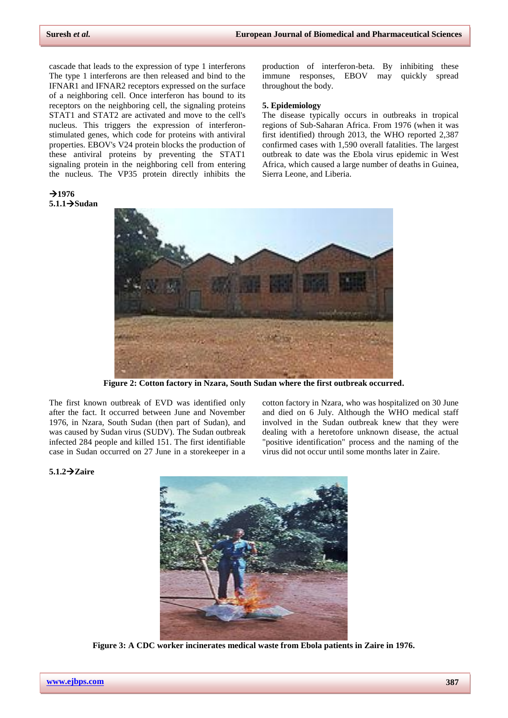cascade that leads to the expression of [type 1 interferons](mhtml:file://C:/Users/Bala%20Gangadhar/AppData/Local/Temp/WPDNSE/%7b81A06C18-0000-0000-0000-000000000000%7d/Ebola%20virus%20disease%20-%20Wikipedia.mhtml!https://en.m.wikipedia.org/wiki/Type_1_interferon) The type 1 interferons are then released and bind to the [IFNAR1](mhtml:file://C:/Users/Bala%20Gangadhar/AppData/Local/Temp/WPDNSE/%7b81A06C18-0000-0000-0000-000000000000%7d/Ebola%20virus%20disease%20-%20Wikipedia.mhtml!https://en.m.wikipedia.org/wiki/IFNAR1) and [IFNAR2](mhtml:file://C:/Users/Bala%20Gangadhar/AppData/Local/Temp/WPDNSE/%7b81A06C18-0000-0000-0000-000000000000%7d/Ebola%20virus%20disease%20-%20Wikipedia.mhtml!https://en.m.wikipedia.org/wiki/IFNAR2) receptors expressed on the surface of a neighboring cell. Once interferon has bound to its receptors on the neighboring cell, the signaling proteins [STAT1](mhtml:file://C:/Users/Bala%20Gangadhar/AppData/Local/Temp/WPDNSE/%7b81A06C18-0000-0000-0000-000000000000%7d/Ebola%20virus%20disease%20-%20Wikipedia.mhtml!https://en.m.wikipedia.org/wiki/STAT1) and [STAT2](mhtml:file://C:/Users/Bala%20Gangadhar/AppData/Local/Temp/WPDNSE/%7b81A06C18-0000-0000-0000-000000000000%7d/Ebola%20virus%20disease%20-%20Wikipedia.mhtml!https://en.m.wikipedia.org/wiki/STAT2) are activated and move to the [cell's](mhtml:file://C:/Users/Bala%20Gangadhar/AppData/Local/Temp/WPDNSE/%7b81A06C18-0000-0000-0000-000000000000%7d/Ebola%20virus%20disease%20-%20Wikipedia.mhtml!https://en.m.wikipedia.org/wiki/Cell_nucleus)  [nucleus.](mhtml:file://C:/Users/Bala%20Gangadhar/AppData/Local/Temp/WPDNSE/%7b81A06C18-0000-0000-0000-000000000000%7d/Ebola%20virus%20disease%20-%20Wikipedia.mhtml!https://en.m.wikipedia.org/wiki/Cell_nucleus) This triggers the expression of [interferon](mhtml:file://C:/Users/Bala%20Gangadhar/AppData/Local/Temp/WPDNSE/%7b81A06C18-0000-0000-0000-000000000000%7d/Ebola%20virus%20disease%20-%20Wikipedia.mhtml!https://en.m.wikipedia.org/wiki/Interferome)[stimulated genes,](mhtml:file://C:/Users/Bala%20Gangadhar/AppData/Local/Temp/WPDNSE/%7b81A06C18-0000-0000-0000-000000000000%7d/Ebola%20virus%20disease%20-%20Wikipedia.mhtml!https://en.m.wikipedia.org/wiki/Interferome) which code for proteins with antiviral properties. EBOV's V24 protein blocks the production of these antiviral proteins by preventing the STAT1 signaling protein in the neighboring cell from entering the nucleus. The VP35 protein directly inhibits the

 $71976$ **5.1.1Sudan**

production of interferon-beta. By inhibiting these immune responses, EBOV may quickly spread throughout the body.

#### **5. Epidemiology**

The disease typically occurs in outbreaks in tropical regions of [Sub-Saharan Africa.](mhtml:file://C:/Users/Bala%20Gangadhar/AppData/Local/Temp/WPDNSE/%7b81A06C18-0000-0000-0000-000000000000%7d/Ebola%20virus%20disease%20-%20Wikipedia.mhtml!https://en.m.wikipedia.org/wiki/Sub-Saharan_Africa) From 1976 (when it was first identified) through 2013, the WHO reported 2,387 confirmed cases with 1,590 overall fatalities. The largest outbreak to date was the [Ebola virus epidemic in West](mhtml:file://C:/Users/Bala%20Gangadhar/AppData/Local/Temp/WPDNSE/%7b81A06C18-0000-0000-0000-000000000000%7d/Ebola%20virus%20disease%20-%20Wikipedia.mhtml!https://en.m.wikipedia.org/wiki/Ebola_virus_epidemic_in_West_Africa)  [Africa,](mhtml:file://C:/Users/Bala%20Gangadhar/AppData/Local/Temp/WPDNSE/%7b81A06C18-0000-0000-0000-000000000000%7d/Ebola%20virus%20disease%20-%20Wikipedia.mhtml!https://en.m.wikipedia.org/wiki/Ebola_virus_epidemic_in_West_Africa) which caused a large number of deaths in [Guinea,](mhtml:file://C:/Users/Bala%20Gangadhar/AppData/Local/Temp/WPDNSE/%7b81A06C18-0000-0000-0000-000000000000%7d/Ebola%20virus%20disease%20-%20Wikipedia.mhtml!https://en.m.wikipedia.org/wiki/Guinea)  [Sierra Leone,](mhtml:file://C:/Users/Bala%20Gangadhar/AppData/Local/Temp/WPDNSE/%7b81A06C18-0000-0000-0000-000000000000%7d/Ebola%20virus%20disease%20-%20Wikipedia.mhtml!https://en.m.wikipedia.org/wiki/Sierra_Leone) an[d Liberia.](mhtml:file://C:/Users/Bala%20Gangadhar/AppData/Local/Temp/WPDNSE/%7b81A06C18-0000-0000-0000-000000000000%7d/Ebola%20virus%20disease%20-%20Wikipedia.mhtml!https://en.m.wikipedia.org/wiki/Liberia)



**Figure 2: Cotton factory in Nzara, South Sudan where the first outbreak occurred.**

The first known outbreak of EVD was identified only after the fact. It occurred between June and November 1976, in [Nzara, South Sudan](mhtml:file://C:/Users/Bala%20Gangadhar/AppData/Local/Temp/WPDNSE/%7b81A06C18-0000-0000-0000-000000000000%7d/Ebola%20virus%20disease%20-%20Wikipedia.mhtml!https://en.m.wikipedia.org/wiki/Nzara,_South_Sudan) (then part of [Sudan\)](mhtml:file://C:/Users/Bala%20Gangadhar/AppData/Local/Temp/WPDNSE/%7b81A06C18-0000-0000-0000-000000000000%7d/Ebola%20virus%20disease%20-%20Wikipedia.mhtml!https://en.m.wikipedia.org/wiki/Sudan), and was caused by [Sudan virus](mhtml:file://C:/Users/Bala%20Gangadhar/AppData/Local/Temp/WPDNSE/%7b81A06C18-0000-0000-0000-000000000000%7d/Ebola%20virus%20disease%20-%20Wikipedia.mhtml!https://en.m.wikipedia.org/wiki/Sudan_virus) (SUDV). The Sudan outbreak infected 284 people and killed 151. The first identifiable case in Sudan occurred on 27 June in a storekeeper in a

cotton factory in [Nzara,](mhtml:file://C:/Users/Bala%20Gangadhar/AppData/Local/Temp/WPDNSE/%7b81A06C18-0000-0000-0000-000000000000%7d/Ebola%20virus%20disease%20-%20Wikipedia.mhtml!https://en.m.wikipedia.org/wiki/Nzara) who was hospitalized on 30 June and died on 6 July. Although the WHO medical staff involved in the Sudan outbreak knew that they were dealing with a heretofore unknown disease, the actual "positive identification" process and the naming of the virus did not occur until some months later in [Zaire.](mhtml:file://C:/Users/Bala%20Gangadhar/AppData/Local/Temp/WPDNSE/%7b81A06C18-0000-0000-0000-000000000000%7d/Ebola%20virus%20disease%20-%20Wikipedia.mhtml!https://en.m.wikipedia.org/wiki/Zaire)

#### **5.1.2Zaire**



**Figure 3: A CDC worker incinerates medical waste from Ebola patients in Zaire in 1976.**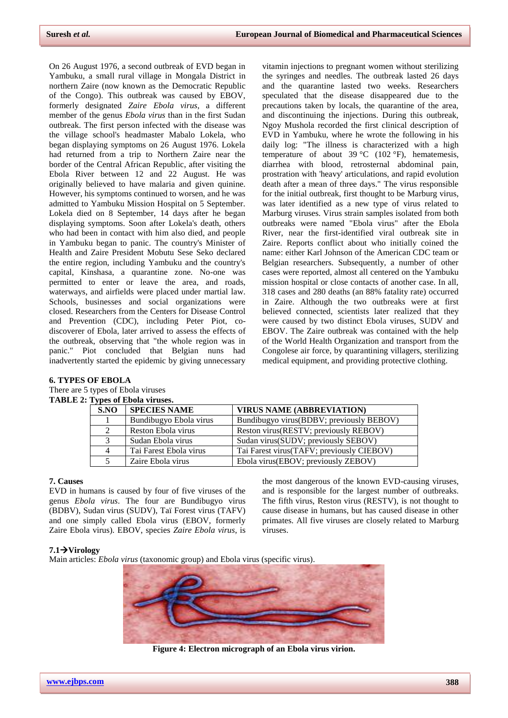On 26 August 1976, a second outbreak of EVD began in [Yambuku,](mhtml:file://C:/Users/Bala%20Gangadhar/AppData/Local/Temp/WPDNSE/%7b81A06C18-0000-0000-0000-000000000000%7d/Ebola%20virus%20disease%20-%20Wikipedia.mhtml!https://en.m.wikipedia.org/wiki/Yambuku) a small rural village in [Mongala District](mhtml:file://C:/Users/Bala%20Gangadhar/AppData/Local/Temp/WPDNSE/%7b81A06C18-0000-0000-0000-000000000000%7d/Ebola%20virus%20disease%20-%20Wikipedia.mhtml!https://en.m.wikipedia.org/wiki/Mongala_District) in northern [Zaire](mhtml:file://C:/Users/Bala%20Gangadhar/AppData/Local/Temp/WPDNSE/%7b81A06C18-0000-0000-0000-000000000000%7d/Ebola%20virus%20disease%20-%20Wikipedia.mhtml!https://en.m.wikipedia.org/wiki/Zaire) (now known as the [Democratic Republic](mhtml:file://C:/Users/Bala%20Gangadhar/AppData/Local/Temp/WPDNSE/%7b81A06C18-0000-0000-0000-000000000000%7d/Ebola%20virus%20disease%20-%20Wikipedia.mhtml!https://en.m.wikipedia.org/wiki/Democratic_Republic_of_the_Congo)  [of the Congo\)](mhtml:file://C:/Users/Bala%20Gangadhar/AppData/Local/Temp/WPDNSE/%7b81A06C18-0000-0000-0000-000000000000%7d/Ebola%20virus%20disease%20-%20Wikipedia.mhtml!https://en.m.wikipedia.org/wiki/Democratic_Republic_of_the_Congo). This outbreak was caused by EBOV, formerly designated *Zaire Ebola virus*, a different member of the [genus](mhtml:file://C:/Users/Bala%20Gangadhar/AppData/Local/Temp/WPDNSE/%7b81A06C18-0000-0000-0000-000000000000%7d/Ebola%20virus%20disease%20-%20Wikipedia.mhtml!https://en.m.wikipedia.org/wiki/Genus) *Ebola virus* than in the first Sudan outbreak. The [first person infected with the disease](mhtml:file://C:/Users/Bala%20Gangadhar/AppData/Local/Temp/WPDNSE/%7b81A06C18-0000-0000-0000-000000000000%7d/Ebola%20virus%20disease%20-%20Wikipedia.mhtml!https://en.m.wikipedia.org/wiki/Index_case) was the village school's headmaster [Mabalo Lokela,](mhtml:file://C:/Users/Bala%20Gangadhar/AppData/Local/Temp/WPDNSE/%7b81A06C18-0000-0000-0000-000000000000%7d/Ebola%20virus%20disease%20-%20Wikipedia.mhtml!https://en.m.wikipedia.org/wiki/Mabalo_Lokela) who began displaying symptoms on 26 August 1976. Lokela had returned from a trip to Northern Zaire near the border of the [Central African Republic,](mhtml:file://C:/Users/Bala%20Gangadhar/AppData/Local/Temp/WPDNSE/%7b81A06C18-0000-0000-0000-000000000000%7d/Ebola%20virus%20disease%20-%20Wikipedia.mhtml!https://en.m.wikipedia.org/wiki/Central_African_Republic) after visiting the [Ebola River](mhtml:file://C:/Users/Bala%20Gangadhar/AppData/Local/Temp/WPDNSE/%7b81A06C18-0000-0000-0000-000000000000%7d/Ebola%20virus%20disease%20-%20Wikipedia.mhtml!https://en.m.wikipedia.org/wiki/Ebola_River) between 12 and 22 August. He was originally believed to have [malaria](mhtml:file://C:/Users/Bala%20Gangadhar/AppData/Local/Temp/WPDNSE/%7b81A06C18-0000-0000-0000-000000000000%7d/Ebola%20virus%20disease%20-%20Wikipedia.mhtml!https://en.m.wikipedia.org/wiki/Malaria) and given [quinine.](mhtml:file://C:/Users/Bala%20Gangadhar/AppData/Local/Temp/WPDNSE/%7b81A06C18-0000-0000-0000-000000000000%7d/Ebola%20virus%20disease%20-%20Wikipedia.mhtml!https://en.m.wikipedia.org/wiki/Quinine) However, his symptoms continued to worsen, and he was admitted to Yambuku Mission Hospital on 5 September. Lokela died on 8 September, 14 days after he began displaying symptoms. Soon after Lokela's death, others who had been in contact with him also died, and people in Yambuku began to panic. The country's Minister of Health and Zaire President [Mobutu Sese Seko](mhtml:file://C:/Users/Bala%20Gangadhar/AppData/Local/Temp/WPDNSE/%7b81A06C18-0000-0000-0000-000000000000%7d/Ebola%20virus%20disease%20-%20Wikipedia.mhtml!https://en.m.wikipedia.org/wiki/Mobutu_Sese_Seko) declared the entire region, including Yambuku and the country's capital, [Kinshasa,](mhtml:file://C:/Users/Bala%20Gangadhar/AppData/Local/Temp/WPDNSE/%7b81A06C18-0000-0000-0000-000000000000%7d/Ebola%20virus%20disease%20-%20Wikipedia.mhtml!https://en.m.wikipedia.org/wiki/Kinshasa) a quarantine zone. No-one was permitted to enter or leave the area, and roads, waterways, and airfields were placed under [martial law.](mhtml:file://C:/Users/Bala%20Gangadhar/AppData/Local/Temp/WPDNSE/%7b81A06C18-0000-0000-0000-000000000000%7d/Ebola%20virus%20disease%20-%20Wikipedia.mhtml!https://en.m.wikipedia.org/wiki/Martial_law) Schools, businesses and social organizations were closed. Researchers from the [Centers for Disease Control](mhtml:file://C:/Users/Bala%20Gangadhar/AppData/Local/Temp/WPDNSE/%7b81A06C18-0000-0000-0000-000000000000%7d/Ebola%20virus%20disease%20-%20Wikipedia.mhtml!https://en.m.wikipedia.org/wiki/Centers_for_Disease_Control_and_Prevention)  [and Prevention](mhtml:file://C:/Users/Bala%20Gangadhar/AppData/Local/Temp/WPDNSE/%7b81A06C18-0000-0000-0000-000000000000%7d/Ebola%20virus%20disease%20-%20Wikipedia.mhtml!https://en.m.wikipedia.org/wiki/Centers_for_Disease_Control_and_Prevention) (CDC), including [Peter Piot,](mhtml:file://C:/Users/Bala%20Gangadhar/AppData/Local/Temp/WPDNSE/%7b81A06C18-0000-0000-0000-000000000000%7d/Ebola%20virus%20disease%20-%20Wikipedia.mhtml!https://en.m.wikipedia.org/wiki/Peter_Piot) codiscoverer of Ebola, later arrived to assess the effects of the outbreak, observing that "the whole region was in panic." Piot concluded that Belgian nuns had inadvertently started the epidemic by giving unnecessary

vitamin injections to pregnant women without sterilizing the syringes and needles. The outbreak lasted 26 days and the quarantine lasted two weeks. Researchers speculated that the disease disappeared due to the precautions taken by locals, the quarantine of the area, and discontinuing the injections. During this outbreak, Ngoy Mushola recorded the first clinical description of EVD in [Yambuku,](mhtml:file://C:/Users/Bala%20Gangadhar/AppData/Local/Temp/WPDNSE/%7b81A06C18-0000-0000-0000-000000000000%7d/Ebola%20virus%20disease%20-%20Wikipedia.mhtml!https://en.m.wikipedia.org/wiki/Yambuku) where he wrote the following in his daily log: "The illness is characterized with a high temperature of about 39 °C (102 °F), hematemesis, diarrhea with blood, retrosternal abdominal pain, prostration with 'heavy' articulations, and rapid evolution death after a mean of three days." The virus responsible for the initial outbreak, first thought to be [Marburg virus,](mhtml:file://C:/Users/Bala%20Gangadhar/AppData/Local/Temp/WPDNSE/%7b81A06C18-0000-0000-0000-000000000000%7d/Ebola%20virus%20disease%20-%20Wikipedia.mhtml!https://en.m.wikipedia.org/wiki/Marburg_virus)  was later identified as a new type of virus related to Marburg viruses. Virus strain samples isolated from both outbreaks were named "Ebola virus" after the [Ebola](mhtml:file://C:/Users/Bala%20Gangadhar/AppData/Local/Temp/WPDNSE/%7b81A06C18-0000-0000-0000-000000000000%7d/Ebola%20virus%20disease%20-%20Wikipedia.mhtml!https://en.m.wikipedia.org/wiki/Ebola_River)  [River,](mhtml:file://C:/Users/Bala%20Gangadhar/AppData/Local/Temp/WPDNSE/%7b81A06C18-0000-0000-0000-000000000000%7d/Ebola%20virus%20disease%20-%20Wikipedia.mhtml!https://en.m.wikipedia.org/wiki/Ebola_River) near the first-identified viral outbreak site in Zaire. Reports conflict about who initially coined the name: either Karl Johnson of the American CDC team or Belgian researchers. Subsequently, a number of other cases were reported, almost all centered on the Yambuku mission hospital or close contacts of another case. In all, 318 cases and 280 deaths (an 88% fatality rate) occurred in Zaire. Although the two outbreaks were at first believed connected, scientists later realized that they were caused by two distinct Ebola viruses, SUDV and EBOV. The Zaire outbreak was contained with the help of the [World Health Organization](mhtml:file://C:/Users/Bala%20Gangadhar/AppData/Local/Temp/WPDNSE/%7b81A06C18-0000-0000-0000-000000000000%7d/Ebola%20virus%20disease%20-%20Wikipedia.mhtml!https://en.m.wikipedia.org/wiki/World_Health_Organization) and transport from the Congolese air force, by quarantining villagers, sterilizing medical equipment, and providing protective clothing.

#### **6. TYPES OF EBOLA**

# There are 5 types of Ebola viruses

#### **TABLE 2: Types of Ebola viruses.**

| S.NO | <b>SPECIES NAME</b>    | <b>VIRUS NAME (ABBREVIATION)</b>          |
|------|------------------------|-------------------------------------------|
|      | Bundibugyo Ebola virus | Bundibugyo virus(BDBV; previously BEBOV)  |
|      | Reston Ebola virus     | Reston virus (RESTV; previously REBOV)    |
|      | Sudan Ebola virus      | Sudan virus (SUDV; previously SEBOV)      |
|      | Tai Farest Ebola virus | Tai Farest virus(TAFV; previously CIEBOV) |
|      | Zaire Ebola virus      | Ebola virus (EBOV; previously ZEBOV)      |

# **7. Causes**

EVD in humans is caused by four of five viruses of the genus *[Ebola](mhtml:file://C:/Users/Bala%20Gangadhar/AppData/Local/Temp/WPDNSE/%7b81A06C18-0000-0000-0000-000000000000%7d/Ebola%20virus%20disease%20-%20Wikipedia.mhtml!https://en.m.wikipedia.org/wiki/Ebolavirus) virus*. The four are [Bundibugyo virus](mhtml:file://C:/Users/Bala%20Gangadhar/AppData/Local/Temp/WPDNSE/%7b81A06C18-0000-0000-0000-000000000000%7d/Ebola%20virus%20disease%20-%20Wikipedia.mhtml!https://en.m.wikipedia.org/wiki/Bundibugyo_virus) (BDBV), [Sudan virus](mhtml:file://C:/Users/Bala%20Gangadhar/AppData/Local/Temp/WPDNSE/%7b81A06C18-0000-0000-0000-000000000000%7d/Ebola%20virus%20disease%20-%20Wikipedia.mhtml!https://en.m.wikipedia.org/wiki/Sudan_virus) (SUDV), [Taï Forest virus](mhtml:file://C:/Users/Bala%20Gangadhar/AppData/Local/Temp/WPDNSE/%7b81A06C18-0000-0000-0000-000000000000%7d/Ebola%20virus%20disease%20-%20Wikipedia.mhtml!https://en.m.wikipedia.org/wiki/Ta%C3%AF_Forest_virus) (TAFV) and one simply called [Ebola virus](mhtml:file://C:/Users/Bala%20Gangadhar/AppData/Local/Temp/WPDNSE/%7b81A06C18-0000-0000-0000-000000000000%7d/Ebola%20virus%20disease%20-%20Wikipedia.mhtml!https://en.m.wikipedia.org/wiki/Ebola_virus) (EBOV, formerly Zaire Ebola virus). EBOV, species *[Zaire Ebola](mhtml:file://C:/Users/Bala%20Gangadhar/AppData/Local/Temp/WPDNSE/%7b81A06C18-0000-0000-0000-000000000000%7d/Ebola%20virus%20disease%20-%20Wikipedia.mhtml!https://en.m.wikipedia.org/wiki/Zaire_ebolavirus) virus*, is the most dangerous of the known EVD-causing viruses, and is responsible for the largest number of outbreaks. The fifth virus, [Reston virus](mhtml:file://C:/Users/Bala%20Gangadhar/AppData/Local/Temp/WPDNSE/%7b81A06C18-0000-0000-0000-000000000000%7d/Ebola%20virus%20disease%20-%20Wikipedia.mhtml!https://en.m.wikipedia.org/wiki/Reston_virus) (RESTV), is not thought to cause disease in humans, but has caused disease in other primates. All five viruses are closely related to [Marburg](mhtml:file://C:/Users/Bala%20Gangadhar/AppData/Local/Temp/WPDNSE/%7b81A06C18-0000-0000-0000-000000000000%7d/Ebola%20virus%20disease%20-%20Wikipedia.mhtml!https://en.m.wikipedia.org/wiki/Marburgvirus)  [viruses.](mhtml:file://C:/Users/Bala%20Gangadhar/AppData/Local/Temp/WPDNSE/%7b81A06C18-0000-0000-0000-000000000000%7d/Ebola%20virus%20disease%20-%20Wikipedia.mhtml!https://en.m.wikipedia.org/wiki/Marburgvirus)

#### **7.1Virology**

Main articles: *Ebola virus* [\(taxonomic group\)](mhtml:file://C:/Users/Bala%20Gangadhar/AppData/Local/Temp/WPDNSE/%7b81A06C18-0000-0000-0000-000000000000%7d/Ebola%20virus%20disease%20-%20Wikipedia.mhtml!https://en.m.wikipedia.org/wiki/Ebolavirus) and [Ebola virus \(specific virus\).](mhtml:file://C:/Users/Bala%20Gangadhar/AppData/Local/Temp/WPDNSE/%7b81A06C18-0000-0000-0000-000000000000%7d/Ebola%20virus%20disease%20-%20Wikipedia.mhtml!https://en.m.wikipedia.org/wiki/Ebola_virus)



**Figure 4[: Electron micrograph](mhtml:file://C:/Users/Bala%20Gangadhar/AppData/Local/Temp/WPDNSE/%7b81A06C18-0000-0000-0000-000000000000%7d/Ebola%20virus%20disease%20-%20Wikipedia.mhtml!https://en.m.wikipedia.org/wiki/Electron_micrograph) of an Ebola virus [virion.](mhtml:file://C:/Users/Bala%20Gangadhar/AppData/Local/Temp/WPDNSE/%7b81A06C18-0000-0000-0000-000000000000%7d/Ebola%20virus%20disease%20-%20Wikipedia.mhtml!https://en.m.wikipedia.org/wiki/Virion)**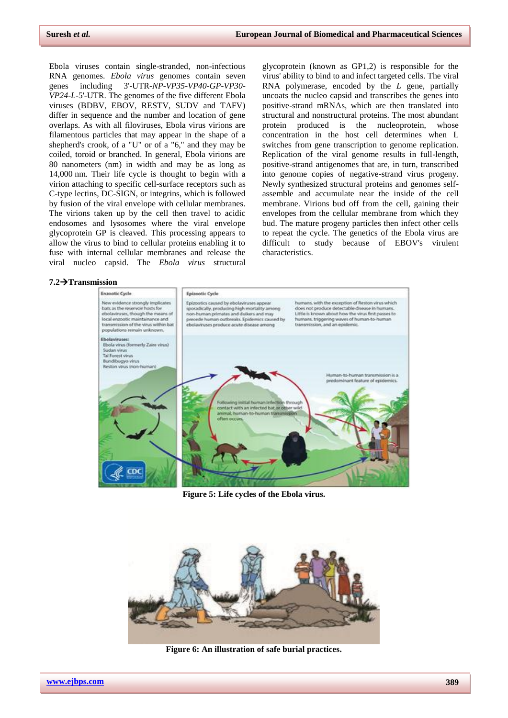Ebola viruses contain single-stranded, non-infectious [RNA](mhtml:file://C:/Users/Bala%20Gangadhar/AppData/Local/Temp/WPDNSE/%7b81A06C18-0000-0000-0000-000000000000%7d/Ebola%20virus%20disease%20-%20Wikipedia.mhtml!https://en.m.wikipedia.org/wiki/RNA) [genomes.](mhtml:file://C:/Users/Bala%20Gangadhar/AppData/Local/Temp/WPDNSE/%7b81A06C18-0000-0000-0000-000000000000%7d/Ebola%20virus%20disease%20-%20Wikipedia.mhtml!https://en.m.wikipedia.org/wiki/Genome) *Ebola virus* genomes contain seven [genes](mhtml:file://C:/Users/Bala%20Gangadhar/AppData/Local/Temp/WPDNSE/%7b81A06C18-0000-0000-0000-000000000000%7d/Ebola%20virus%20disease%20-%20Wikipedia.mhtml!https://en.m.wikipedia.org/wiki/Gene) including [3'-UTR-](mhtml:file://C:/Users/Bala%20Gangadhar/AppData/Local/Temp/WPDNSE/%7b81A06C18-0000-0000-0000-000000000000%7d/Ebola%20virus%20disease%20-%20Wikipedia.mhtml!https://en.m.wikipedia.org/wiki/Three_prime_untranslated_region)*NP*-*VP35*-*VP40*-*GP*-*VP30*- *VP24*-*L*[-5'-UTR.](mhtml:file://C:/Users/Bala%20Gangadhar/AppData/Local/Temp/WPDNSE/%7b81A06C18-0000-0000-0000-000000000000%7d/Ebola%20virus%20disease%20-%20Wikipedia.mhtml!https://en.m.wikipedia.org/wiki/Five_prime_untranslated_region) The genomes of the five different Ebola viruses (BDBV, EBOV, RESTV, SUDV and TAFV) differ in [sequence](mhtml:file://C:/Users/Bala%20Gangadhar/AppData/Local/Temp/WPDNSE/%7b81A06C18-0000-0000-0000-000000000000%7d/Ebola%20virus%20disease%20-%20Wikipedia.mhtml!https://en.m.wikipedia.org/wiki/Nucleic_acid_sequence) and the number and location of gene overlaps. As with all [filoviruses,](mhtml:file://C:/Users/Bala%20Gangadhar/AppData/Local/Temp/WPDNSE/%7b81A06C18-0000-0000-0000-000000000000%7d/Ebola%20virus%20disease%20-%20Wikipedia.mhtml!https://en.m.wikipedia.org/wiki/Filovirus) Ebola virus virions are filamentous particles that may appear in the shape of a shepherd's crook, of a "U" or of a "6," and they may be coiled, toroid or branched. In general, Ebola virions are 80 nanometers (nm) in width and may be as long as 14,000 nm. Their [life cycle](mhtml:file://C:/Users/Bala%20Gangadhar/AppData/Local/Temp/WPDNSE/%7b81A06C18-0000-0000-0000-000000000000%7d/Ebola%20virus%20disease%20-%20Wikipedia.mhtml!https://en.m.wikipedia.org/wiki/Biological_life_cycle) is thought to begin with a virion attaching to specific cell-surface [receptors](mhtml:file://C:/Users/Bala%20Gangadhar/AppData/Local/Temp/WPDNSE/%7b81A06C18-0000-0000-0000-000000000000%7d/Ebola%20virus%20disease%20-%20Wikipedia.mhtml!https://en.m.wikipedia.org/wiki/Receptor_(biochemistry)) such as [C-type lectins,](mhtml:file://C:/Users/Bala%20Gangadhar/AppData/Local/Temp/WPDNSE/%7b81A06C18-0000-0000-0000-000000000000%7d/Ebola%20virus%20disease%20-%20Wikipedia.mhtml!https://en.m.wikipedia.org/wiki/C-type_lectin) [DC-SIGN,](mhtml:file://C:/Users/Bala%20Gangadhar/AppData/Local/Temp/WPDNSE/%7b81A06C18-0000-0000-0000-000000000000%7d/Ebola%20virus%20disease%20-%20Wikipedia.mhtml!https://en.m.wikipedia.org/wiki/DC-SIGN) or [integrins,](mhtml:file://C:/Users/Bala%20Gangadhar/AppData/Local/Temp/WPDNSE/%7b81A06C18-0000-0000-0000-000000000000%7d/Ebola%20virus%20disease%20-%20Wikipedia.mhtml!https://en.m.wikipedia.org/wiki/Integrin) which is followed by fusion of the [viral envelope with cellular membranes.](mhtml:file://C:/Users/Bala%20Gangadhar/AppData/Local/Temp/WPDNSE/%7b81A06C18-0000-0000-0000-000000000000%7d/Ebola%20virus%20disease%20-%20Wikipedia.mhtml!https://en.m.wikipedia.org/wiki/Pinocytosis) The virions taken up by the cell then travel to acidic [endosomes](mhtml:file://C:/Users/Bala%20Gangadhar/AppData/Local/Temp/WPDNSE/%7b81A06C18-0000-0000-0000-000000000000%7d/Ebola%20virus%20disease%20-%20Wikipedia.mhtml!https://en.m.wikipedia.org/wiki/Endosome) and [lysosomes](mhtml:file://C:/Users/Bala%20Gangadhar/AppData/Local/Temp/WPDNSE/%7b81A06C18-0000-0000-0000-000000000000%7d/Ebola%20virus%20disease%20-%20Wikipedia.mhtml!https://en.m.wikipedia.org/wiki/Lysosome) where the viral envelope glycoprotein GP is cleaved. This processing appears to allow the virus to bind to cellular proteins enabling it to fuse with internal cellular membranes and release the viral [nucleo](mhtml:file://C:/Users/Bala%20Gangadhar/AppData/Local/Temp/WPDNSE/%7b81A06C18-0000-0000-0000-000000000000%7d/Ebola%20virus%20disease%20-%20Wikipedia.mhtml!https://en.m.wikipedia.org/wiki/Nucleocapsid) capsid. The *Ebola virus* structural

glycoprotein (known as GP1,2) is responsible for the virus' ability to bind to and infect targeted cells. The viral [RNA polymerase,](mhtml:file://C:/Users/Bala%20Gangadhar/AppData/Local/Temp/WPDNSE/%7b81A06C18-0000-0000-0000-000000000000%7d/Ebola%20virus%20disease%20-%20Wikipedia.mhtml!https://en.m.wikipedia.org/wiki/RNA-dependent_RNA_polymerase) encoded by the *L* gene, partially uncoats the nucleo capsid and [transcribes](mhtml:file://C:/Users/Bala%20Gangadhar/AppData/Local/Temp/WPDNSE/%7b81A06C18-0000-0000-0000-000000000000%7d/Ebola%20virus%20disease%20-%20Wikipedia.mhtml!https://en.m.wikipedia.org/wiki/Transcription_(genetics)) the genes into positive-strand [mRNAs,](mhtml:file://C:/Users/Bala%20Gangadhar/AppData/Local/Temp/WPDNSE/%7b81A06C18-0000-0000-0000-000000000000%7d/Ebola%20virus%20disease%20-%20Wikipedia.mhtml!https://en.m.wikipedia.org/wiki/MRNA) which are then [translated](mhtml:file://C:/Users/Bala%20Gangadhar/AppData/Local/Temp/WPDNSE/%7b81A06C18-0000-0000-0000-000000000000%7d/Ebola%20virus%20disease%20-%20Wikipedia.mhtml!https://en.m.wikipedia.org/wiki/Translation_(biology)) into structural and nonstructural proteins. The most abundant protein produced is the nucleoprotein, whose concentration in the host cell determines when L switches from gene transcription to genome replication. Replication of the viral genome results in full-length, positive-strand antigenomes that are, in turn, transcribed into genome copies of negative-strand virus progeny. Newly synthesized structural proteins and genomes selfassemble and accumulate near the inside of the [cell](mhtml:file://C:/Users/Bala%20Gangadhar/AppData/Local/Temp/WPDNSE/%7b81A06C18-0000-0000-0000-000000000000%7d/Ebola%20virus%20disease%20-%20Wikipedia.mhtml!https://en.m.wikipedia.org/wiki/Cell_membrane)  [membrane.](mhtml:file://C:/Users/Bala%20Gangadhar/AppData/Local/Temp/WPDNSE/%7b81A06C18-0000-0000-0000-000000000000%7d/Ebola%20virus%20disease%20-%20Wikipedia.mhtml!https://en.m.wikipedia.org/wiki/Cell_membrane) Virions [bud](mhtml:file://C:/Users/Bala%20Gangadhar/AppData/Local/Temp/WPDNSE/%7b81A06C18-0000-0000-0000-000000000000%7d/Ebola%20virus%20disease%20-%20Wikipedia.mhtml!https://en.m.wikipedia.org/wiki/Budding) off from the cell, gaining their envelopes from the cellular membrane from which they bud. The mature progeny particles then infect other cells to repeat the cycle. The genetics of the Ebola virus are difficult to study because of EBOV's virulent characteristics.

#### **7.2Transmission**



**Figure 5: Life cycles of th[e Ebola](mhtml:file://C:/Users/Bala%20Gangadhar/AppData/Local/Temp/WPDNSE/%7b81A06C18-0000-0000-0000-000000000000%7d/Ebola%20virus%20disease%20-%20Wikipedia.mhtml!https://en.m.wikipedia.org/wiki/Ebolavirus) virus.**



**Figure 6: An illustration of safe burial practices.**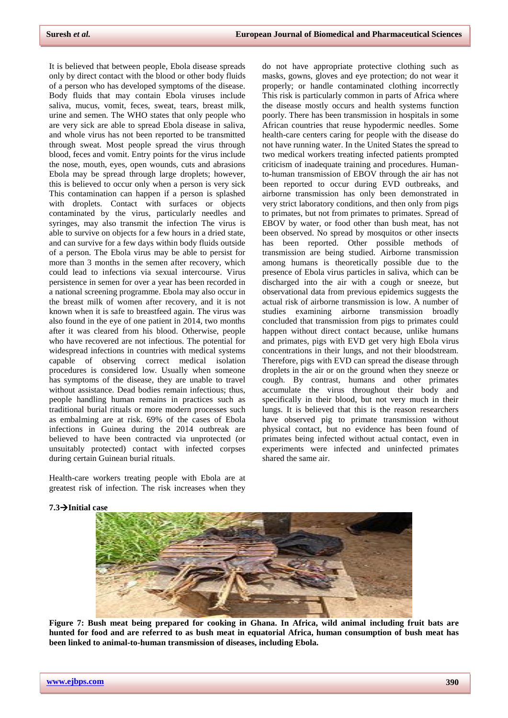It is believed that between people, Ebola disease spreads only by direct contact with the blood or other [body fluids](mhtml:file://C:/Users/Bala%20Gangadhar/AppData/Local/Temp/WPDNSE/%7b81A06C18-0000-0000-0000-000000000000%7d/Ebola%20virus%20disease%20-%20Wikipedia.mhtml!https://en.m.wikipedia.org/wiki/Body_fluid) of a person who has developed symptoms of the disease. Body fluids that may contain Ebola viruses include saliva, mucus, vomit, feces, sweat, tears, breast milk, urine and [semen.](mhtml:file://C:/Users/Bala%20Gangadhar/AppData/Local/Temp/WPDNSE/%7b81A06C18-0000-0000-0000-000000000000%7d/Ebola%20virus%20disease%20-%20Wikipedia.mhtml!https://en.m.wikipedia.org/wiki/Semen) The WHO states that only people who are very sick are able to spread Ebola disease in [saliva,](mhtml:file://C:/Users/Bala%20Gangadhar/AppData/Local/Temp/WPDNSE/%7b81A06C18-0000-0000-0000-000000000000%7d/Ebola%20virus%20disease%20-%20Wikipedia.mhtml!https://en.m.wikipedia.org/wiki/Saliva) and whole virus has not been reported to be transmitted through sweat. Most people spread the virus through blood, [feces](mhtml:file://C:/Users/Bala%20Gangadhar/AppData/Local/Temp/WPDNSE/%7b81A06C18-0000-0000-0000-000000000000%7d/Ebola%20virus%20disease%20-%20Wikipedia.mhtml!https://en.m.wikipedia.org/wiki/Feces) and vomit. Entry points for the virus include the nose, mouth, eyes, open wounds, cuts and abrasions Ebola may be spread through large [droplets;](mhtml:file://C:/Users/Bala%20Gangadhar/AppData/Local/Temp/WPDNSE/%7b81A06C18-0000-0000-0000-000000000000%7d/Ebola%20virus%20disease%20-%20Wikipedia.mhtml!https://en.m.wikipedia.org/wiki/Droplet) however, this is believed to occur only when a person is very sick This contamination can happen if a person is splashed with droplets. Contact with surfaces or objects contaminated by the virus, particularly needles and syringes, may also transmit the infection The virus is able to survive on objects for a few hours in a dried state, and can survive for a few days within body fluids outside of a person. The Ebola virus may be able to persist for more than 3 months in the semen after recovery, which could lead to infections via [sexual intercourse.](mhtml:file://C:/Users/Bala%20Gangadhar/AppData/Local/Temp/WPDNSE/%7b81A06C18-0000-0000-0000-000000000000%7d/Ebola%20virus%20disease%20-%20Wikipedia.mhtml!https://en.m.wikipedia.org/wiki/Sexual_intercourse) Virus persistence in semen for over a year has been recorded in a national screening programme. Ebola may also occur in the breast milk of women after recovery, and it is not known when it is safe to breastfeed again. The virus was also found in the eye of one patient in 2014, two months after it was cleared from his blood. Otherwise, people who have recovered are not infectious. The potential for [widespread infections](mhtml:file://C:/Users/Bala%20Gangadhar/AppData/Local/Temp/WPDNSE/%7b81A06C18-0000-0000-0000-000000000000%7d/Ebola%20virus%20disease%20-%20Wikipedia.mhtml!https://en.m.wikipedia.org/wiki/Pandemics) in countries with medical systems capable of observing correct medical isolation procedures is considered low. Usually when someone has symptoms of the disease, they are unable to travel without assistance. Dead bodies remain infectious; thus, people handling human remains in practices such as traditional burial rituals or more modern processes such as [embalming](mhtml:file://C:/Users/Bala%20Gangadhar/AppData/Local/Temp/WPDNSE/%7b81A06C18-0000-0000-0000-000000000000%7d/Ebola%20virus%20disease%20-%20Wikipedia.mhtml!https://en.m.wikipedia.org/wiki/Embalming) are at risk. 69% of the cases of Ebola infections in Guinea during the 2014 outbreak are believed to have been contracted via unprotected (or unsuitably protected) contact with infected corpses during certain Guinean burial rituals.

Health-care workers treating people with Ebola are at greatest risk of infection. The risk increases when they

do not have appropriate protective clothing such as masks, gowns, gloves and eye protection; do not wear it properly; or handle contaminated clothing incorrectly This risk is particularly common in parts of Africa where the disease mostly occurs and health systems function poorly. There has been transmission [in hospitals](mhtml:file://C:/Users/Bala%20Gangadhar/AppData/Local/Temp/WPDNSE/%7b81A06C18-0000-0000-0000-000000000000%7d/Ebola%20virus%20disease%20-%20Wikipedia.mhtml!https://en.m.wikipedia.org/wiki/Nosocomial) in some African countries that reuse hypodermic needles. Some health-care centers caring for people with the disease do not have running water. In the United States the spread to two medical workers treating infected patients prompted criticism of inadequate training and procedures. Humanto-human transmission of EBOV through the air has not been reported to occur during EVD outbreaks, and airborne transmission has only been demonstrated in very strict laboratory conditions, and then only from pigs to [primates,](mhtml:file://C:/Users/Bala%20Gangadhar/AppData/Local/Temp/WPDNSE/%7b81A06C18-0000-0000-0000-000000000000%7d/Ebola%20virus%20disease%20-%20Wikipedia.mhtml!https://en.m.wikipedia.org/wiki/Primates) but not from primates to primates. Spread of EBOV by water, or food other than bush meat, has not been observed. No spread by mosquitos or other insects has been reported. Other possible methods of transmission are being studied. Airborne transmission among humans is theoretically possible due to the presence of Ebola virus particles in saliva, which can be discharged into the air with a cough or sneeze, but observational data from previous epidemics suggests the actual risk of airborne transmission is low. A number of studies examining airborne transmission broadly concluded that transmission from pigs to primates could happen without direct contact because, unlike humans and primates, pigs with EVD get very high Ebola virus concentrations in their lungs, and not their bloodstream. Therefore, pigs with EVD can spread the disease through droplets in the air or on the ground when they sneeze or cough. By contrast, humans and other primates accumulate the virus throughout their body and specifically in their blood, but not very much in their lungs. It is believed that this is the reason researchers have observed pig to primate transmission without physical contact, but no evidence has been found of primates being infected without actual contact, even in experiments were infected and uninfected primates shared the same air.

#### **7.3Initial case**



**Figure 7: [Bush meat](mhtml:file://C:/Users/Bala%20Gangadhar/AppData/Local/Temp/WPDNSE/%7b81A06C18-0000-0000-0000-000000000000%7d/Ebola%20virus%20disease%20-%20Wikipedia.mhtml!https://en.m.wikipedia.org/wiki/Bushmeat) being prepared for cooking in [Ghana.](mhtml:file://C:/Users/Bala%20Gangadhar/AppData/Local/Temp/WPDNSE/%7b81A06C18-0000-0000-0000-000000000000%7d/Ebola%20virus%20disease%20-%20Wikipedia.mhtml!https://en.m.wikipedia.org/wiki/Ghana) In Africa, wild animal including fruit bats are hunted for food and are referred to as bush meat in equatorial Africa, human consumption of bush meat has been linked to animal-to-human transmission of diseases, including Ebola.**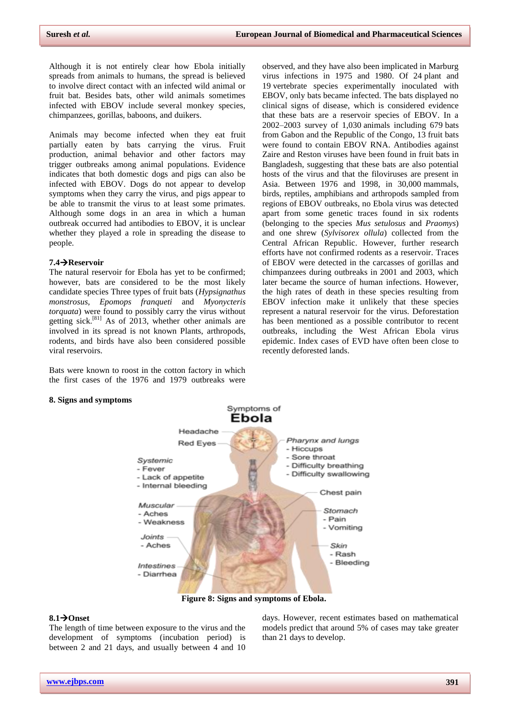Although it is not entirely clear how Ebola initially spreads from animals to humans, the spread is believed to involve direct contact with an infected wild animal or fruit bat. Besides bats, other wild animals sometimes infected with EBOV include several monkey species, chimpanzees, gorillas, baboons, and [duikers.](mhtml:file://C:/Users/Bala%20Gangadhar/AppData/Local/Temp/WPDNSE/%7b81A06C18-0000-0000-0000-000000000000%7d/Ebola%20virus%20disease%20-%20Wikipedia.mhtml!https://en.m.wikipedia.org/wiki/Duikers)

Animals may become infected when they eat fruit partially eaten by bats carrying the virus. Fruit production, animal behavior and other factors may trigger outbreaks among animal populations. Evidence indicates that both domestic dogs and pigs can also be infected with EBOV. Dogs do not appear to develop symptoms when they carry the virus, and pigs appear to be able to transmit the virus to at least some primates. Although some dogs in an area in which a human outbreak occurred had antibodies to EBOV, it is unclear whether they played a role in spreading the disease to people.

#### **7.4Reservoir**

The [natural reservoir](mhtml:file://C:/Users/Bala%20Gangadhar/AppData/Local/Temp/WPDNSE/%7b81A06C18-0000-0000-0000-000000000000%7d/Ebola%20virus%20disease%20-%20Wikipedia.mhtml!https://en.m.wikipedia.org/wiki/Natural_reservoir) for Ebola has yet to be confirmed; however, [bats](mhtml:file://C:/Users/Bala%20Gangadhar/AppData/Local/Temp/WPDNSE/%7b81A06C18-0000-0000-0000-000000000000%7d/Ebola%20virus%20disease%20-%20Wikipedia.mhtml!https://en.m.wikipedia.org/wiki/Bat) are considered to be the most likely candidate species Three types of fruit bats (*[Hypsignathus](mhtml:file://C:/Users/Bala%20Gangadhar/AppData/Local/Temp/WPDNSE/%7b81A06C18-0000-0000-0000-000000000000%7d/Ebola%20virus%20disease%20-%20Wikipedia.mhtml!https://en.m.wikipedia.org/wiki/Hypsignathus_monstrosus)  [monstrosus](mhtml:file://C:/Users/Bala%20Gangadhar/AppData/Local/Temp/WPDNSE/%7b81A06C18-0000-0000-0000-000000000000%7d/Ebola%20virus%20disease%20-%20Wikipedia.mhtml!https://en.m.wikipedia.org/wiki/Hypsignathus_monstrosus)*, *[Epomops franqueti](mhtml:file://C:/Users/Bala%20Gangadhar/AppData/Local/Temp/WPDNSE/%7b81A06C18-0000-0000-0000-000000000000%7d/Ebola%20virus%20disease%20-%20Wikipedia.mhtml!https://en.m.wikipedia.org/wiki/Epomops_franqueti)* and *[Myonycteris](mhtml:file://C:/Users/Bala%20Gangadhar/AppData/Local/Temp/WPDNSE/%7b81A06C18-0000-0000-0000-000000000000%7d/Ebola%20virus%20disease%20-%20Wikipedia.mhtml!https://en.m.wikipedia.org/wiki/Myonycteris_torquata)  [torquata](mhtml:file://C:/Users/Bala%20Gangadhar/AppData/Local/Temp/WPDNSE/%7b81A06C18-0000-0000-0000-000000000000%7d/Ebola%20virus%20disease%20-%20Wikipedia.mhtml!https://en.m.wikipedia.org/wiki/Myonycteris_torquata)*) were found to possibly carry the virus without getting sick.<sup>[\[81\]](mhtml:file://C:/Users/Bala%20Gangadhar/AppData/Local/Temp/WPDNSE/%7b81A06C18-0000-0000-0000-000000000000%7d/Ebola%20virus%20disease%20-%20Wikipedia.mhtml!https://en.m.wikipedia.org/wiki/Ebola_virus_disease#cite_note-81)</sup> As of 2013, whether other animals are involved in its spread is not known Plants, [arthropods,](mhtml:file://C:/Users/Bala%20Gangadhar/AppData/Local/Temp/WPDNSE/%7b81A06C18-0000-0000-0000-000000000000%7d/Ebola%20virus%20disease%20-%20Wikipedia.mhtml!https://en.m.wikipedia.org/wiki/Arthropod) [rodents,](mhtml:file://C:/Users/Bala%20Gangadhar/AppData/Local/Temp/WPDNSE/%7b81A06C18-0000-0000-0000-000000000000%7d/Ebola%20virus%20disease%20-%20Wikipedia.mhtml!https://en.m.wikipedia.org/wiki/Rodent) and birds have also been considered possible viral reservoirs.

Bats were known to roost in the cotton factory in which the [first cases](mhtml:file://C:/Users/Bala%20Gangadhar/AppData/Local/Temp/WPDNSE/%7b81A06C18-0000-0000-0000-000000000000%7d/Ebola%20virus%20disease%20-%20Wikipedia.mhtml!https://en.m.wikipedia.org/wiki/Index_case) of the 1976 and 1979 outbreaks were

#### **8. Signs and symptoms**

observed, and they have also been implicated in Marburg virus infections in 1975 and 1980. Of 24 plant and 19 vertebrate species experimentally inoculated with EBOV, only bats became infected. The bats displayed no clinical signs of disease, which is considered evidence that these bats are a reservoir species of EBOV. In a 2002–2003 survey of 1,030 animals including 679 bats from [Gabon](mhtml:file://C:/Users/Bala%20Gangadhar/AppData/Local/Temp/WPDNSE/%7b81A06C18-0000-0000-0000-000000000000%7d/Ebola%20virus%20disease%20-%20Wikipedia.mhtml!https://en.m.wikipedia.org/wiki/Gabon) and the [Republic of the Congo,](mhtml:file://C:/Users/Bala%20Gangadhar/AppData/Local/Temp/WPDNSE/%7b81A06C18-0000-0000-0000-000000000000%7d/Ebola%20virus%20disease%20-%20Wikipedia.mhtml!https://en.m.wikipedia.org/wiki/Republic_of_the_Congo) 13 fruit bats were found to contain EBOV RNA. Antibodies against Zaire and Reston viruses have been found in fruit bats in [Bangladesh,](mhtml:file://C:/Users/Bala%20Gangadhar/AppData/Local/Temp/WPDNSE/%7b81A06C18-0000-0000-0000-000000000000%7d/Ebola%20virus%20disease%20-%20Wikipedia.mhtml!https://en.m.wikipedia.org/wiki/Bangladesh) suggesting that these bats are also potential hosts of the virus and that the filoviruses are present in Asia. Between 1976 and 1998, in 30,000 mammals, birds, reptiles, amphibians and [arthropods](mhtml:file://C:/Users/Bala%20Gangadhar/AppData/Local/Temp/WPDNSE/%7b81A06C18-0000-0000-0000-000000000000%7d/Ebola%20virus%20disease%20-%20Wikipedia.mhtml!https://en.m.wikipedia.org/wiki/Arthropod) sampled from regions of EBOV outbreaks, no Ebola virus was detected apart from some genetic traces found in six rodents (belonging to the species *[Mus setulosus](mhtml:file://C:/Users/Bala%20Gangadhar/AppData/Local/Temp/WPDNSE/%7b81A06C18-0000-0000-0000-000000000000%7d/Ebola%20virus%20disease%20-%20Wikipedia.mhtml!https://en.m.wikipedia.org/wiki/Mus_setulosus)* and *[Praomys](mhtml:file://C:/Users/Bala%20Gangadhar/AppData/Local/Temp/WPDNSE/%7b81A06C18-0000-0000-0000-000000000000%7d/Ebola%20virus%20disease%20-%20Wikipedia.mhtml!https://en.m.wikipedia.org/wiki/Praomys)*) and one [shrew](mhtml:file://C:/Users/Bala%20Gangadhar/AppData/Local/Temp/WPDNSE/%7b81A06C18-0000-0000-0000-000000000000%7d/Ebola%20virus%20disease%20-%20Wikipedia.mhtml!https://en.m.wikipedia.org/wiki/Shrew) (*[Sylvisorex ollula](mhtml:file://C:/Users/Bala%20Gangadhar/AppData/Local/Temp/WPDNSE/%7b81A06C18-0000-0000-0000-000000000000%7d/Ebola%20virus%20disease%20-%20Wikipedia.mhtml!https://en.m.wikipedia.org/wiki/Sylvisorex_ollula)*) collected from the [Central African Republic.](mhtml:file://C:/Users/Bala%20Gangadhar/AppData/Local/Temp/WPDNSE/%7b81A06C18-0000-0000-0000-000000000000%7d/Ebola%20virus%20disease%20-%20Wikipedia.mhtml!https://en.m.wikipedia.org/wiki/Central_African_Republic) However, further research efforts have not confirmed rodents as a reservoir. Traces of EBOV were detected in the carcasses of gorillas and chimpanzees during outbreaks in 2001 and 2003, which later became the source of human infections. However, the high rates of death in these species resulting from EBOV infection make it unlikely that these species represent a natural reservoir for the virus. [Deforestation](mhtml:file://C:/Users/Bala%20Gangadhar/AppData/Local/Temp/WPDNSE/%7b81A06C18-0000-0000-0000-000000000000%7d/Ebola%20virus%20disease%20-%20Wikipedia.mhtml!https://en.m.wikipedia.org/wiki/Deforestation_in_the_Democratic_Republic_of_the_Congo) has been mentioned as a possible contributor to recent outbreaks, including the [West African Ebola virus](mhtml:file://C:/Users/Bala%20Gangadhar/AppData/Local/Temp/WPDNSE/%7b81A06C18-0000-0000-0000-000000000000%7d/Ebola%20virus%20disease%20-%20Wikipedia.mhtml!https://en.m.wikipedia.org/wiki/West_African_Ebola_virus_epidemic)  [epidemic.](mhtml:file://C:/Users/Bala%20Gangadhar/AppData/Local/Temp/WPDNSE/%7b81A06C18-0000-0000-0000-000000000000%7d/Ebola%20virus%20disease%20-%20Wikipedia.mhtml!https://en.m.wikipedia.org/wiki/West_African_Ebola_virus_epidemic) Index cases of EVD have often been close to recently deforested lands.



**Figure 8: Signs and symptoms of Ebola.**

#### **8.1Onset**

The length of time between exposure to the virus and the development of symptoms [\(incubation period\)](mhtml:file://C:/Users/Bala%20Gangadhar/AppData/Local/Temp/WPDNSE/%7b81A06C18-0000-0000-0000-000000000000%7d/Ebola%20virus%20disease%20-%20Wikipedia.mhtml!https://en.m.wikipedia.org/wiki/Incubation_period) is between 2 and 21 days, and usually between 4 and 10

days. However, recent estimates based on mathematical models predict that around 5% of cases may take greater than 21 days to develop.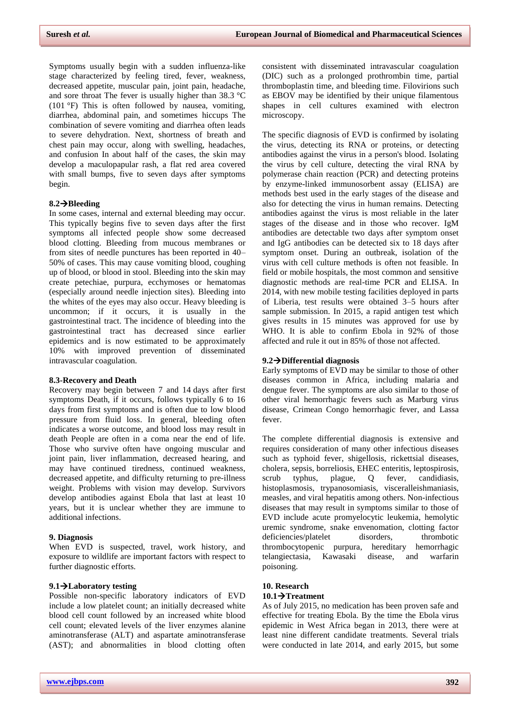Symptoms usually begin with a sudden [influenza-](mhtml:file://C:/Users/Bala%20Gangadhar/AppData/Local/Temp/WPDNSE/%7b81A06C18-0000-0000-0000-000000000000%7d/Ebola%20virus%20disease%20-%20Wikipedia.mhtml!https://en.m.wikipedia.org/wiki/Influenza)like stage characterized by [feeling tired,](mhtml:file://C:/Users/Bala%20Gangadhar/AppData/Local/Temp/WPDNSE/%7b81A06C18-0000-0000-0000-000000000000%7d/Ebola%20virus%20disease%20-%20Wikipedia.mhtml!https://en.m.wikipedia.org/wiki/Fatigue_(medical)) [fever,](mhtml:file://C:/Users/Bala%20Gangadhar/AppData/Local/Temp/WPDNSE/%7b81A06C18-0000-0000-0000-000000000000%7d/Ebola%20virus%20disease%20-%20Wikipedia.mhtml!https://en.m.wikipedia.org/wiki/Fever) [weakness,](mhtml:file://C:/Users/Bala%20Gangadhar/AppData/Local/Temp/WPDNSE/%7b81A06C18-0000-0000-0000-000000000000%7d/Ebola%20virus%20disease%20-%20Wikipedia.mhtml!https://en.m.wikipedia.org/wiki/Asthenia) [decreased appetite,](mhtml:file://C:/Users/Bala%20Gangadhar/AppData/Local/Temp/WPDNSE/%7b81A06C18-0000-0000-0000-000000000000%7d/Ebola%20virus%20disease%20-%20Wikipedia.mhtml!https://en.m.wikipedia.org/wiki/Anorexia_(symptom)) [muscular pain,](mhtml:file://C:/Users/Bala%20Gangadhar/AppData/Local/Temp/WPDNSE/%7b81A06C18-0000-0000-0000-000000000000%7d/Ebola%20virus%20disease%20-%20Wikipedia.mhtml!https://en.m.wikipedia.org/wiki/Myalgia) [joint pain,](mhtml:file://C:/Users/Bala%20Gangadhar/AppData/Local/Temp/WPDNSE/%7b81A06C18-0000-0000-0000-000000000000%7d/Ebola%20virus%20disease%20-%20Wikipedia.mhtml!https://en.m.wikipedia.org/wiki/Arthralgia) headache, and sore throat The fever is usually higher than 38.3 °C (101 °F) This is often followed by nausea, vomiting, [diarrhea,](mhtml:file://C:/Users/Bala%20Gangadhar/AppData/Local/Temp/WPDNSE/%7b81A06C18-0000-0000-0000-000000000000%7d/Ebola%20virus%20disease%20-%20Wikipedia.mhtml!https://en.m.wikipedia.org/wiki/Diarrhea) abdominal pain, and sometimes [hiccups](mhtml:file://C:/Users/Bala%20Gangadhar/AppData/Local/Temp/WPDNSE/%7b81A06C18-0000-0000-0000-000000000000%7d/Ebola%20virus%20disease%20-%20Wikipedia.mhtml!https://en.m.wikipedia.org/wiki/Hiccups) The combination of severe vomiting and diarrhea often leads to severe [dehydration.](mhtml:file://C:/Users/Bala%20Gangadhar/AppData/Local/Temp/WPDNSE/%7b81A06C18-0000-0000-0000-000000000000%7d/Ebola%20virus%20disease%20-%20Wikipedia.mhtml!https://en.m.wikipedia.org/wiki/Dehydration) Next, [shortness of breath](mhtml:file://C:/Users/Bala%20Gangadhar/AppData/Local/Temp/WPDNSE/%7b81A06C18-0000-0000-0000-000000000000%7d/Ebola%20virus%20disease%20-%20Wikipedia.mhtml!https://en.m.wikipedia.org/wiki/Shortness_of_breath) and [chest pain](mhtml:file://C:/Users/Bala%20Gangadhar/AppData/Local/Temp/WPDNSE/%7b81A06C18-0000-0000-0000-000000000000%7d/Ebola%20virus%20disease%20-%20Wikipedia.mhtml!https://en.m.wikipedia.org/wiki/Chest_pain) may occur, along with [swelling,](mhtml:file://C:/Users/Bala%20Gangadhar/AppData/Local/Temp/WPDNSE/%7b81A06C18-0000-0000-0000-000000000000%7d/Ebola%20virus%20disease%20-%20Wikipedia.mhtml!https://en.m.wikipedia.org/wiki/Edema) [headaches,](mhtml:file://C:/Users/Bala%20Gangadhar/AppData/Local/Temp/WPDNSE/%7b81A06C18-0000-0000-0000-000000000000%7d/Ebola%20virus%20disease%20-%20Wikipedia.mhtml!https://en.m.wikipedia.org/wiki/Headaches) and [confusion](mhtml:file://C:/Users/Bala%20Gangadhar/AppData/Local/Temp/WPDNSE/%7b81A06C18-0000-0000-0000-000000000000%7d/Ebola%20virus%20disease%20-%20Wikipedia.mhtml!https://en.m.wikipedia.org/wiki/Decreased_level_of_consciousness) In about half of the cases, the skin may develop a [maculopapular rash,](mhtml:file://C:/Users/Bala%20Gangadhar/AppData/Local/Temp/WPDNSE/%7b81A06C18-0000-0000-0000-000000000000%7d/Ebola%20virus%20disease%20-%20Wikipedia.mhtml!https://en.m.wikipedia.org/wiki/Maculopapular_rash) a flat red area covered with small bumps, five to seven days after symptoms begin.

# **8.2Bleeding**

In some cases, internal and external bleeding may occur. This typically begins five to seven days after the first symptoms all infected people show some [decreased](mhtml:file://C:/Users/Bala%20Gangadhar/AppData/Local/Temp/WPDNSE/%7b81A06C18-0000-0000-0000-000000000000%7d/Ebola%20virus%20disease%20-%20Wikipedia.mhtml!https://en.m.wikipedia.org/wiki/Bleeding_disorder)  [blood clotting.](mhtml:file://C:/Users/Bala%20Gangadhar/AppData/Local/Temp/WPDNSE/%7b81A06C18-0000-0000-0000-000000000000%7d/Ebola%20virus%20disease%20-%20Wikipedia.mhtml!https://en.m.wikipedia.org/wiki/Bleeding_disorder) Bleeding from mucous membranes or from sites of needle punctures has been reported in 40– 50% of cases. This may cause [vomiting blood,](mhtml:file://C:/Users/Bala%20Gangadhar/AppData/Local/Temp/WPDNSE/%7b81A06C18-0000-0000-0000-000000000000%7d/Ebola%20virus%20disease%20-%20Wikipedia.mhtml!https://en.m.wikipedia.org/wiki/Hematemesis) [coughing](mhtml:file://C:/Users/Bala%20Gangadhar/AppData/Local/Temp/WPDNSE/%7b81A06C18-0000-0000-0000-000000000000%7d/Ebola%20virus%20disease%20-%20Wikipedia.mhtml!https://en.m.wikipedia.org/wiki/Hemoptysis)  [up of blood,](mhtml:file://C:/Users/Bala%20Gangadhar/AppData/Local/Temp/WPDNSE/%7b81A06C18-0000-0000-0000-000000000000%7d/Ebola%20virus%20disease%20-%20Wikipedia.mhtml!https://en.m.wikipedia.org/wiki/Hemoptysis) or [blood in stool.](mhtml:file://C:/Users/Bala%20Gangadhar/AppData/Local/Temp/WPDNSE/%7b81A06C18-0000-0000-0000-000000000000%7d/Ebola%20virus%20disease%20-%20Wikipedia.mhtml!https://en.m.wikipedia.org/wiki/Blood_in_stool) Bleeding into the skin may create [petechiae,](mhtml:file://C:/Users/Bala%20Gangadhar/AppData/Local/Temp/WPDNSE/%7b81A06C18-0000-0000-0000-000000000000%7d/Ebola%20virus%20disease%20-%20Wikipedia.mhtml!https://en.m.wikipedia.org/wiki/Petechia) [purpura,](mhtml:file://C:/Users/Bala%20Gangadhar/AppData/Local/Temp/WPDNSE/%7b81A06C18-0000-0000-0000-000000000000%7d/Ebola%20virus%20disease%20-%20Wikipedia.mhtml!https://en.m.wikipedia.org/wiki/Purpura) [ecchymoses](mhtml:file://C:/Users/Bala%20Gangadhar/AppData/Local/Temp/WPDNSE/%7b81A06C18-0000-0000-0000-000000000000%7d/Ebola%20virus%20disease%20-%20Wikipedia.mhtml!https://en.m.wikipedia.org/wiki/Ecchymosis) or [hematomas](mhtml:file://C:/Users/Bala%20Gangadhar/AppData/Local/Temp/WPDNSE/%7b81A06C18-0000-0000-0000-000000000000%7d/Ebola%20virus%20disease%20-%20Wikipedia.mhtml!https://en.m.wikipedia.org/wiki/Hematoma) (especially around needle injection sites). [Bleeding into](mhtml:file://C:/Users/Bala%20Gangadhar/AppData/Local/Temp/WPDNSE/%7b81A06C18-0000-0000-0000-000000000000%7d/Ebola%20virus%20disease%20-%20Wikipedia.mhtml!https://en.m.wikipedia.org/wiki/Subconjunctival_hemorrhage)  [the whites of the eyes](mhtml:file://C:/Users/Bala%20Gangadhar/AppData/Local/Temp/WPDNSE/%7b81A06C18-0000-0000-0000-000000000000%7d/Ebola%20virus%20disease%20-%20Wikipedia.mhtml!https://en.m.wikipedia.org/wiki/Subconjunctival_hemorrhage) may also occur. Heavy bleeding is uncommon; if it occurs, it is usually in the [gastrointestinal tract.](mhtml:file://C:/Users/Bala%20Gangadhar/AppData/Local/Temp/WPDNSE/%7b81A06C18-0000-0000-0000-000000000000%7d/Ebola%20virus%20disease%20-%20Wikipedia.mhtml!https://en.m.wikipedia.org/wiki/Gastrointestinal_tract) The incidence of bleeding into the gastrointestinal tract has decreased since earlier epidemics and is now estimated to be approximately 10% with improved prevention of disseminated intravascular coagulation.

#### **8.3-Recovery and Death**

Recovery may begin between 7 and 14 days after first symptoms Death, if it occurs, follows typically 6 to 16 days from first symptoms and is often due to [low blood](mhtml:file://C:/Users/Bala%20Gangadhar/AppData/Local/Temp/WPDNSE/%7b81A06C18-0000-0000-0000-000000000000%7d/Ebola%20virus%20disease%20-%20Wikipedia.mhtml!https://en.m.wikipedia.org/wiki/Hypovolemic_shock)  [pressure from fluid loss.](mhtml:file://C:/Users/Bala%20Gangadhar/AppData/Local/Temp/WPDNSE/%7b81A06C18-0000-0000-0000-000000000000%7d/Ebola%20virus%20disease%20-%20Wikipedia.mhtml!https://en.m.wikipedia.org/wiki/Hypovolemic_shock) In general, bleeding often indicates a worse outcome, and blood loss may result in death People are often in a [coma](mhtml:file://C:/Users/Bala%20Gangadhar/AppData/Local/Temp/WPDNSE/%7b81A06C18-0000-0000-0000-000000000000%7d/Ebola%20virus%20disease%20-%20Wikipedia.mhtml!https://en.m.wikipedia.org/wiki/Coma) near the end of life. Those who survive often have ongoing muscular and joint pain, [liver inflammation,](mhtml:file://C:/Users/Bala%20Gangadhar/AppData/Local/Temp/WPDNSE/%7b81A06C18-0000-0000-0000-000000000000%7d/Ebola%20virus%20disease%20-%20Wikipedia.mhtml!https://en.m.wikipedia.org/wiki/Hepatitis) decreased hearing, and may have continued tiredness, continued weakness, decreased appetite, and difficulty returning to pre-illness weight. Problems with vision may develop. Survivors develop [antibodies](mhtml:file://C:/Users/Bala%20Gangadhar/AppData/Local/Temp/WPDNSE/%7b81A06C18-0000-0000-0000-000000000000%7d/Ebola%20virus%20disease%20-%20Wikipedia.mhtml!https://en.m.wikipedia.org/wiki/Antibodies) against Ebola that last at least 10 years, but it is unclear whether they are immune to additional infections.

#### **9. Diagnosis**

When EVD is suspected, travel, work history, and exposure to wildlife are important factors with respect to further diagnostic efforts.

# **9.1Laboratory testing**

Possible non-specific laboratory indicators of EVD include a [low platelet count;](mhtml:file://C:/Users/Bala%20Gangadhar/AppData/Local/Temp/WPDNSE/%7b81A06C18-0000-0000-0000-000000000000%7d/Ebola%20virus%20disease%20-%20Wikipedia.mhtml!https://en.m.wikipedia.org/wiki/Thrombocytopenia) an initially [decreased white](mhtml:file://C:/Users/Bala%20Gangadhar/AppData/Local/Temp/WPDNSE/%7b81A06C18-0000-0000-0000-000000000000%7d/Ebola%20virus%20disease%20-%20Wikipedia.mhtml!https://en.m.wikipedia.org/wiki/Leukopenia)  [blood cell count](mhtml:file://C:/Users/Bala%20Gangadhar/AppData/Local/Temp/WPDNSE/%7b81A06C18-0000-0000-0000-000000000000%7d/Ebola%20virus%20disease%20-%20Wikipedia.mhtml!https://en.m.wikipedia.org/wiki/Leukopenia) followed by an [increased white blood](mhtml:file://C:/Users/Bala%20Gangadhar/AppData/Local/Temp/WPDNSE/%7b81A06C18-0000-0000-0000-000000000000%7d/Ebola%20virus%20disease%20-%20Wikipedia.mhtml!https://en.m.wikipedia.org/wiki/Leukocytosis)  [cell count;](mhtml:file://C:/Users/Bala%20Gangadhar/AppData/Local/Temp/WPDNSE/%7b81A06C18-0000-0000-0000-000000000000%7d/Ebola%20virus%20disease%20-%20Wikipedia.mhtml!https://en.m.wikipedia.org/wiki/Leukocytosis) elevated levels of the liver enzymes [alanine](mhtml:file://C:/Users/Bala%20Gangadhar/AppData/Local/Temp/WPDNSE/%7b81A06C18-0000-0000-0000-000000000000%7d/Ebola%20virus%20disease%20-%20Wikipedia.mhtml!https://en.m.wikipedia.org/wiki/Alanine_aminotransferase)  [aminotransferase](mhtml:file://C:/Users/Bala%20Gangadhar/AppData/Local/Temp/WPDNSE/%7b81A06C18-0000-0000-0000-000000000000%7d/Ebola%20virus%20disease%20-%20Wikipedia.mhtml!https://en.m.wikipedia.org/wiki/Alanine_aminotransferase) (ALT) and [aspartate aminotransferase](mhtml:file://C:/Users/Bala%20Gangadhar/AppData/Local/Temp/WPDNSE/%7b81A06C18-0000-0000-0000-000000000000%7d/Ebola%20virus%20disease%20-%20Wikipedia.mhtml!https://en.m.wikipedia.org/wiki/Aspartate_aminotransferase) (AST); and abnormalities in blood clotting often

consistent with [disseminated intravascular coagulation](mhtml:file://C:/Users/Bala%20Gangadhar/AppData/Local/Temp/WPDNSE/%7b81A06C18-0000-0000-0000-000000000000%7d/Ebola%20virus%20disease%20-%20Wikipedia.mhtml!https://en.m.wikipedia.org/wiki/Disseminated_intravascular_coagulation) (DIC) such as a prolonged [prothrombin time,](mhtml:file://C:/Users/Bala%20Gangadhar/AppData/Local/Temp/WPDNSE/%7b81A06C18-0000-0000-0000-000000000000%7d/Ebola%20virus%20disease%20-%20Wikipedia.mhtml!https://en.m.wikipedia.org/wiki/Prothrombin_time) [partial](mhtml:file://C:/Users/Bala%20Gangadhar/AppData/Local/Temp/WPDNSE/%7b81A06C18-0000-0000-0000-000000000000%7d/Ebola%20virus%20disease%20-%20Wikipedia.mhtml!https://en.m.wikipedia.org/wiki/Partial_thromboplastin_time)  [thromboplastin time,](mhtml:file://C:/Users/Bala%20Gangadhar/AppData/Local/Temp/WPDNSE/%7b81A06C18-0000-0000-0000-000000000000%7d/Ebola%20virus%20disease%20-%20Wikipedia.mhtml!https://en.m.wikipedia.org/wiki/Partial_thromboplastin_time) and [bleeding time.](mhtml:file://C:/Users/Bala%20Gangadhar/AppData/Local/Temp/WPDNSE/%7b81A06C18-0000-0000-0000-000000000000%7d/Ebola%20virus%20disease%20-%20Wikipedia.mhtml!https://en.m.wikipedia.org/wiki/Bleeding_time) Filovirions such as EBOV may be identified by their unique filamentous shapes in cell cultures examined with [electron](mhtml:file://C:/Users/Bala%20Gangadhar/AppData/Local/Temp/WPDNSE/%7b81A06C18-0000-0000-0000-000000000000%7d/Ebola%20virus%20disease%20-%20Wikipedia.mhtml!https://en.m.wikipedia.org/wiki/Electron_microscopy)  [microscopy.](mhtml:file://C:/Users/Bala%20Gangadhar/AppData/Local/Temp/WPDNSE/%7b81A06C18-0000-0000-0000-000000000000%7d/Ebola%20virus%20disease%20-%20Wikipedia.mhtml!https://en.m.wikipedia.org/wiki/Electron_microscopy)

The specific diagnosis of EVD is confirmed by isolating the virus, detecting its [RNA](mhtml:file://C:/Users/Bala%20Gangadhar/AppData/Local/Temp/WPDNSE/%7b81A06C18-0000-0000-0000-000000000000%7d/Ebola%20virus%20disease%20-%20Wikipedia.mhtml!https://en.m.wikipedia.org/wiki/RNA) or proteins, or detecting [antibodies](mhtml:file://C:/Users/Bala%20Gangadhar/AppData/Local/Temp/WPDNSE/%7b81A06C18-0000-0000-0000-000000000000%7d/Ebola%20virus%20disease%20-%20Wikipedia.mhtml!https://en.m.wikipedia.org/wiki/Antibodies) against the virus in a person's blood. Isolating the virus by [cell culture,](mhtml:file://C:/Users/Bala%20Gangadhar/AppData/Local/Temp/WPDNSE/%7b81A06C18-0000-0000-0000-000000000000%7d/Ebola%20virus%20disease%20-%20Wikipedia.mhtml!https://en.m.wikipedia.org/wiki/Cell_culture) detecting the viral RNA by [polymerase chain reaction](mhtml:file://C:/Users/Bala%20Gangadhar/AppData/Local/Temp/WPDNSE/%7b81A06C18-0000-0000-0000-000000000000%7d/Ebola%20virus%20disease%20-%20Wikipedia.mhtml!https://en.m.wikipedia.org/wiki/Polymerase_chain_reaction) (PCR) and detecting proteins by [enzyme-linked immunosorbent assay](mhtml:file://C:/Users/Bala%20Gangadhar/AppData/Local/Temp/WPDNSE/%7b81A06C18-0000-0000-0000-000000000000%7d/Ebola%20virus%20disease%20-%20Wikipedia.mhtml!https://en.m.wikipedia.org/wiki/Enzyme-linked_immunosorbent_assay) (ELISA) are methods best used in the early stages of the disease and also for detecting the virus in human remains. Detecting antibodies against the virus is most reliable in the later stages of the disease and in those who recover. [IgM](mhtml:file://C:/Users/Bala%20Gangadhar/AppData/Local/Temp/WPDNSE/%7b81A06C18-0000-0000-0000-000000000000%7d/Ebola%20virus%20disease%20-%20Wikipedia.mhtml!https://en.m.wikipedia.org/wiki/Immunoglobulin_M)  [antibodies](mhtml:file://C:/Users/Bala%20Gangadhar/AppData/Local/Temp/WPDNSE/%7b81A06C18-0000-0000-0000-000000000000%7d/Ebola%20virus%20disease%20-%20Wikipedia.mhtml!https://en.m.wikipedia.org/wiki/Immunoglobulin_M) are detectable two days after symptom onset and [IgG antibodies](mhtml:file://C:/Users/Bala%20Gangadhar/AppData/Local/Temp/WPDNSE/%7b81A06C18-0000-0000-0000-000000000000%7d/Ebola%20virus%20disease%20-%20Wikipedia.mhtml!https://en.m.wikipedia.org/wiki/Immunoglobulin_G) can be detected six to 18 days after symptom onset. During an outbreak, isolation of the virus with cell culture methods is often not feasible. In field or mobile hospitals, the most common and sensitive diagnostic methods are [real-time PCR](mhtml:file://C:/Users/Bala%20Gangadhar/AppData/Local/Temp/WPDNSE/%7b81A06C18-0000-0000-0000-000000000000%7d/Ebola%20virus%20disease%20-%20Wikipedia.mhtml!https://en.m.wikipedia.org/wiki/Real-time_PCR) and ELISA. In 2014, with new mobile testing facilities deployed in parts of Liberia, test results were obtained 3–5 hours after sample submission. In 2015, a rapid antigen test which gives results in 15 minutes was approved for use by WHO. It is able to confirm Ebola in 92% of those affected and rule it out in 85% of those not affected.

#### **9.2Differential diagnosis**

Early symptoms of EVD may be similar to those of other diseases common in Africa, including [malaria](mhtml:file://C:/Users/Bala%20Gangadhar/AppData/Local/Temp/WPDNSE/%7b81A06C18-0000-0000-0000-000000000000%7d/Ebola%20virus%20disease%20-%20Wikipedia.mhtml!https://en.m.wikipedia.org/wiki/Malaria) and [dengue fever.](mhtml:file://C:/Users/Bala%20Gangadhar/AppData/Local/Temp/WPDNSE/%7b81A06C18-0000-0000-0000-000000000000%7d/Ebola%20virus%20disease%20-%20Wikipedia.mhtml!https://en.m.wikipedia.org/wiki/Dengue_fever) The symptoms are also similar to those of other viral hemorrhagic fevers such as [Marburg virus](mhtml:file://C:/Users/Bala%20Gangadhar/AppData/Local/Temp/WPDNSE/%7b81A06C18-0000-0000-0000-000000000000%7d/Ebola%20virus%20disease%20-%20Wikipedia.mhtml!https://en.m.wikipedia.org/wiki/Marburg_virus_disease)  [disease,](mhtml:file://C:/Users/Bala%20Gangadhar/AppData/Local/Temp/WPDNSE/%7b81A06C18-0000-0000-0000-000000000000%7d/Ebola%20virus%20disease%20-%20Wikipedia.mhtml!https://en.m.wikipedia.org/wiki/Marburg_virus_disease) [Crimean Congo hemorrhagic fever,](mhtml:file://C:/Users/Bala%20Gangadhar/AppData/Local/Temp/WPDNSE/%7b81A06C18-0000-0000-0000-000000000000%7d/Ebola%20virus%20disease%20-%20Wikipedia.mhtml!https://en.m.wikipedia.org/wiki/Crimean_Congo_hemorrhagic_fever) and [Lassa](mhtml:file://C:/Users/Bala%20Gangadhar/AppData/Local/Temp/WPDNSE/%7b81A06C18-0000-0000-0000-000000000000%7d/Ebola%20virus%20disease%20-%20Wikipedia.mhtml!https://en.m.wikipedia.org/wiki/Lassa_fever)  [fever.](mhtml:file://C:/Users/Bala%20Gangadhar/AppData/Local/Temp/WPDNSE/%7b81A06C18-0000-0000-0000-000000000000%7d/Ebola%20virus%20disease%20-%20Wikipedia.mhtml!https://en.m.wikipedia.org/wiki/Lassa_fever)

The complete [differential diagnosis](mhtml:file://C:/Users/Bala%20Gangadhar/AppData/Local/Temp/WPDNSE/%7b81A06C18-0000-0000-0000-000000000000%7d/Ebola%20virus%20disease%20-%20Wikipedia.mhtml!https://en.m.wikipedia.org/wiki/Differential_diagnosis) is extensive and requires consideration of many other infectious diseases such as [typhoid fever,](mhtml:file://C:/Users/Bala%20Gangadhar/AppData/Local/Temp/WPDNSE/%7b81A06C18-0000-0000-0000-000000000000%7d/Ebola%20virus%20disease%20-%20Wikipedia.mhtml!https://en.m.wikipedia.org/wiki/Typhoid_fever) [shigellosis,](mhtml:file://C:/Users/Bala%20Gangadhar/AppData/Local/Temp/WPDNSE/%7b81A06C18-0000-0000-0000-000000000000%7d/Ebola%20virus%20disease%20-%20Wikipedia.mhtml!https://en.m.wikipedia.org/wiki/Shigellosis) [rickettsial diseases,](mhtml:file://C:/Users/Bala%20Gangadhar/AppData/Local/Temp/WPDNSE/%7b81A06C18-0000-0000-0000-000000000000%7d/Ebola%20virus%20disease%20-%20Wikipedia.mhtml!https://en.m.wikipedia.org/wiki/Rickettsia)  [cholera,](mhtml:file://C:/Users/Bala%20Gangadhar/AppData/Local/Temp/WPDNSE/%7b81A06C18-0000-0000-0000-000000000000%7d/Ebola%20virus%20disease%20-%20Wikipedia.mhtml!https://en.m.wikipedia.org/wiki/Cholera) [sepsis,](mhtml:file://C:/Users/Bala%20Gangadhar/AppData/Local/Temp/WPDNSE/%7b81A06C18-0000-0000-0000-000000000000%7d/Ebola%20virus%20disease%20-%20Wikipedia.mhtml!https://en.m.wikipedia.org/wiki/Sepsis) [borreliosis,](mhtml:file://C:/Users/Bala%20Gangadhar/AppData/Local/Temp/WPDNSE/%7b81A06C18-0000-0000-0000-000000000000%7d/Ebola%20virus%20disease%20-%20Wikipedia.mhtml!https://en.m.wikipedia.org/wiki/Borreliosis) [EHEC enteritis,](mhtml:file://C:/Users/Bala%20Gangadhar/AppData/Local/Temp/WPDNSE/%7b81A06C18-0000-0000-0000-000000000000%7d/Ebola%20virus%20disease%20-%20Wikipedia.mhtml!https://en.m.wikipedia.org/wiki/Verotoxin-producing_Escherichia_coli) [leptospirosis,](mhtml:file://C:/Users/Bala%20Gangadhar/AppData/Local/Temp/WPDNSE/%7b81A06C18-0000-0000-0000-000000000000%7d/Ebola%20virus%20disease%20-%20Wikipedia.mhtml!https://en.m.wikipedia.org/wiki/Leptospirosis)  [scrub typhus,](mhtml:file://C:/Users/Bala%20Gangadhar/AppData/Local/Temp/WPDNSE/%7b81A06C18-0000-0000-0000-000000000000%7d/Ebola%20virus%20disease%20-%20Wikipedia.mhtml!https://en.m.wikipedia.org/wiki/Scrub_typhus) [plague,](mhtml:file://C:/Users/Bala%20Gangadhar/AppData/Local/Temp/WPDNSE/%7b81A06C18-0000-0000-0000-000000000000%7d/Ebola%20virus%20disease%20-%20Wikipedia.mhtml!https://en.m.wikipedia.org/wiki/Plague_(disease)) [Q fever,](mhtml:file://C:/Users/Bala%20Gangadhar/AppData/Local/Temp/WPDNSE/%7b81A06C18-0000-0000-0000-000000000000%7d/Ebola%20virus%20disease%20-%20Wikipedia.mhtml!https://en.m.wikipedia.org/wiki/Q_fever) [candidiasis,](mhtml:file://C:/Users/Bala%20Gangadhar/AppData/Local/Temp/WPDNSE/%7b81A06C18-0000-0000-0000-000000000000%7d/Ebola%20virus%20disease%20-%20Wikipedia.mhtml!https://en.m.wikipedia.org/wiki/Candidiasis)  [histoplasmosis,](mhtml:file://C:/Users/Bala%20Gangadhar/AppData/Local/Temp/WPDNSE/%7b81A06C18-0000-0000-0000-000000000000%7d/Ebola%20virus%20disease%20-%20Wikipedia.mhtml!https://en.m.wikipedia.org/wiki/Histoplasmosis) [trypanosomiasis,](mhtml:file://C:/Users/Bala%20Gangadhar/AppData/Local/Temp/WPDNSE/%7b81A06C18-0000-0000-0000-000000000000%7d/Ebola%20virus%20disease%20-%20Wikipedia.mhtml!https://en.m.wikipedia.org/wiki/Trypanosomiasis) [visceralleishmaniasis,](mhtml:file://C:/Users/Bala%20Gangadhar/AppData/Local/Temp/WPDNSE/%7b81A06C18-0000-0000-0000-000000000000%7d/Ebola%20virus%20disease%20-%20Wikipedia.mhtml!https://en.m.wikipedia.org/wiki/Visceral)  [measles,](mhtml:file://C:/Users/Bala%20Gangadhar/AppData/Local/Temp/WPDNSE/%7b81A06C18-0000-0000-0000-000000000000%7d/Ebola%20virus%20disease%20-%20Wikipedia.mhtml!https://en.m.wikipedia.org/wiki/Measles) and [viral hepatitis](mhtml:file://C:/Users/Bala%20Gangadhar/AppData/Local/Temp/WPDNSE/%7b81A06C18-0000-0000-0000-000000000000%7d/Ebola%20virus%20disease%20-%20Wikipedia.mhtml!https://en.m.wikipedia.org/wiki/Viral_hepatitis) among others. Non-infectious diseases that may result in symptoms similar to those of EVD include [acute promyelocytic leukemia,](mhtml:file://C:/Users/Bala%20Gangadhar/AppData/Local/Temp/WPDNSE/%7b81A06C18-0000-0000-0000-000000000000%7d/Ebola%20virus%20disease%20-%20Wikipedia.mhtml!https://en.m.wikipedia.org/wiki/Acute_promyelocytic_leukemia) [hemolytic](mhtml:file://C:/Users/Bala%20Gangadhar/AppData/Local/Temp/WPDNSE/%7b81A06C18-0000-0000-0000-000000000000%7d/Ebola%20virus%20disease%20-%20Wikipedia.mhtml!https://en.m.wikipedia.org/wiki/Hemolytic_uremic_syndrome)  [uremic syndrome,](mhtml:file://C:/Users/Bala%20Gangadhar/AppData/Local/Temp/WPDNSE/%7b81A06C18-0000-0000-0000-000000000000%7d/Ebola%20virus%20disease%20-%20Wikipedia.mhtml!https://en.m.wikipedia.org/wiki/Hemolytic_uremic_syndrome) [snake envenomation,](mhtml:file://C:/Users/Bala%20Gangadhar/AppData/Local/Temp/WPDNSE/%7b81A06C18-0000-0000-0000-000000000000%7d/Ebola%20virus%20disease%20-%20Wikipedia.mhtml!https://en.m.wikipedia.org/wiki/Snake_envenomation) [clotting factor](mhtml:file://C:/Users/Bala%20Gangadhar/AppData/Local/Temp/WPDNSE/%7b81A06C18-0000-0000-0000-000000000000%7d/Ebola%20virus%20disease%20-%20Wikipedia.mhtml!https://en.m.wikipedia.org/wiki/Coagulation) deficiencies/platelet disorders, thrombotic [thrombocytopenic purpura,](mhtml:file://C:/Users/Bala%20Gangadhar/AppData/Local/Temp/WPDNSE/%7b81A06C18-0000-0000-0000-000000000000%7d/Ebola%20virus%20disease%20-%20Wikipedia.mhtml!https://en.m.wikipedia.org/wiki/Thrombotic_thrombocytopenic_purpura) [hereditary hemorrhagic](mhtml:file://C:/Users/Bala%20Gangadhar/AppData/Local/Temp/WPDNSE/%7b81A06C18-0000-0000-0000-000000000000%7d/Ebola%20virus%20disease%20-%20Wikipedia.mhtml!https://en.m.wikipedia.org/wiki/Hereditary_hemorrhagic_telangiectasia)  [telangiectasia,](mhtml:file://C:/Users/Bala%20Gangadhar/AppData/Local/Temp/WPDNSE/%7b81A06C18-0000-0000-0000-000000000000%7d/Ebola%20virus%20disease%20-%20Wikipedia.mhtml!https://en.m.wikipedia.org/wiki/Hereditary_hemorrhagic_telangiectasia) [Kawasaki disease,](mhtml:file://C:/Users/Bala%20Gangadhar/AppData/Local/Temp/WPDNSE/%7b81A06C18-0000-0000-0000-000000000000%7d/Ebola%20virus%20disease%20-%20Wikipedia.mhtml!https://en.m.wikipedia.org/wiki/Kawasaki_disease) and [warfarin](mhtml:file://C:/Users/Bala%20Gangadhar/AppData/Local/Temp/WPDNSE/%7b81A06C18-0000-0000-0000-000000000000%7d/Ebola%20virus%20disease%20-%20Wikipedia.mhtml!https://en.m.wikipedia.org/wiki/Warfarin) poisoning.

# **10. Research**

# **10.1Treatment**

As of July 2015, no medication has been proven safe and effective for treating Ebola. By the time the [Ebola virus](mhtml:file://C:/Users/Bala%20Gangadhar/AppData/Local/Temp/WPDNSE/%7b81A06C18-0000-0000-0000-000000000000%7d/Ebola%20virus%20disease%20-%20Wikipedia.mhtml!https://en.m.wikipedia.org/wiki/Ebola_virus_epidemic_in_West_Africa)  [epidemic in West Africa](mhtml:file://C:/Users/Bala%20Gangadhar/AppData/Local/Temp/WPDNSE/%7b81A06C18-0000-0000-0000-000000000000%7d/Ebola%20virus%20disease%20-%20Wikipedia.mhtml!https://en.m.wikipedia.org/wiki/Ebola_virus_epidemic_in_West_Africa) began in 2013, there were at least nine different candidate treatments. Several trials were conducted in late 2014, and early 2015, but some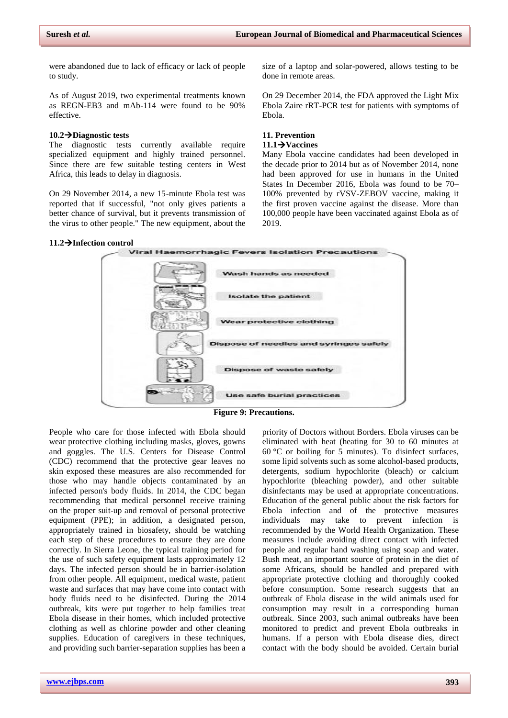were abandoned due to lack of efficacy or lack of people to study.

As of August 2019, two experimental treatments known as REGN-EB3 and mAb-114 were found to be 90% effective.

# **10.2Diagnostic tests**

The diagnostic tests currently available require specialized equipment and highly trained personnel. Since there are few suitable testing centers in West Africa, this leads to delay in diagnosis.

On 29 November 2014, a new 15-minute Ebola test was reported that if successful, "not only gives patients a better chance of survival, but it prevents transmission of the virus to other people." The new equipment, about the

size of a laptop and solar-powered, allows testing to be done in remote areas.

On 29 December 2014, the FDA approved the Light Mix Ebola Zaire [rRT-PCR](mhtml:file://C:/Users/Bala%20Gangadhar/AppData/Local/Temp/WPDNSE/%7b81A06C18-0000-0000-0000-000000000000%7d/Ebola%20virus%20disease%20-%20Wikipedia.mhtml!https://en.m.wikipedia.org/wiki/Reverse_transcription_polymerase_chain_reaction) test for patients with symptoms of Ebola.

# **11. Prevention**

# **11.1Vaccines**

Many [Ebola vaccine](mhtml:file://C:/Users/Bala%20Gangadhar/AppData/Local/Temp/WPDNSE/%7b81A06C18-0000-0000-0000-000000000000%7d/Ebola%20virus%20disease%20-%20Wikipedia.mhtml!https://en.m.wikipedia.org/wiki/Ebola_vaccine) candidates had been developed in the decade prior to 2014 but as of November 2014, none had been approved for use in humans in the United States In December 2016, Ebola was found to be 70– 100% prevented by [rVSV-ZEBOV vaccine,](mhtml:file://C:/Users/Bala%20Gangadhar/AppData/Local/Temp/WPDNSE/%7b81A06C18-0000-0000-0000-000000000000%7d/Ebola%20virus%20disease%20-%20Wikipedia.mhtml!https://en.m.wikipedia.org/wiki/RVSV-ZEBOV_vaccine) making it the first proven vaccine against the disease. More than 100,000 people have been vaccinated against Ebola as of 2019.



People who care for those infected with Ebola should wear protective clothing including masks, gloves, gowns and goggles. The U.S. [Centers for Disease Control](mhtml:file://C:/Users/Bala%20Gangadhar/AppData/Local/Temp/WPDNSE/%7b81A06C18-0000-0000-0000-000000000000%7d/Ebola%20virus%20disease%20-%20Wikipedia.mhtml!https://en.m.wikipedia.org/wiki/Centers_for_Disease_Control) (CDC) recommend that the protective gear leaves no skin exposed these measures are also recommended for those who may handle objects contaminated by an infected person's body fluids. In 2014, the CDC began recommending that medical personnel receive training on the proper suit-up and removal of [personal protective](mhtml:file://C:/Users/Bala%20Gangadhar/AppData/Local/Temp/WPDNSE/%7b81A06C18-0000-0000-0000-000000000000%7d/Ebola%20virus%20disease%20-%20Wikipedia.mhtml!https://en.m.wikipedia.org/wiki/Personal_protective_equipment)  [equipment](mhtml:file://C:/Users/Bala%20Gangadhar/AppData/Local/Temp/WPDNSE/%7b81A06C18-0000-0000-0000-000000000000%7d/Ebola%20virus%20disease%20-%20Wikipedia.mhtml!https://en.m.wikipedia.org/wiki/Personal_protective_equipment) (PPE); in addition, a designated person, appropriately trained in biosafety, should be watching each step of these procedures to ensure they are done correctly. In Sierra Leone, the typical training period for the use of such safety equipment lasts approximately 12 days. The infected person should be in [barrier-isolation](mhtml:file://C:/Users/Bala%20Gangadhar/AppData/Local/Temp/WPDNSE/%7b81A06C18-0000-0000-0000-000000000000%7d/Ebola%20virus%20disease%20-%20Wikipedia.mhtml!https://en.m.wikipedia.org/wiki/Isolation_(health_care)) from other people. All equipment, medical waste, patient waste and surfaces that may have come into contact with body fluids need to be [disinfected.](mhtml:file://C:/Users/Bala%20Gangadhar/AppData/Local/Temp/WPDNSE/%7b81A06C18-0000-0000-0000-000000000000%7d/Ebola%20virus%20disease%20-%20Wikipedia.mhtml!https://en.m.wikipedia.org/wiki/Disinfection) During the 2014 outbreak, kits were put together to help families treat Ebola disease in their homes, which included protective clothing as well as [chlorine powder](mhtml:file://C:/Users/Bala%20Gangadhar/AppData/Local/Temp/WPDNSE/%7b81A06C18-0000-0000-0000-000000000000%7d/Ebola%20virus%20disease%20-%20Wikipedia.mhtml!https://en.m.wikipedia.org/wiki/Chlorine_powder) and other cleaning supplies. Education of caregivers in these techniques, and providing such barrier-separation supplies has been a

priority of [Doctors without](mhtml:file://C:/Users/Bala%20Gangadhar/AppData/Local/Temp/WPDNSE/%7b81A06C18-0000-0000-0000-000000000000%7d/Ebola%20virus%20disease%20-%20Wikipedia.mhtml!https://en.m.wikipedia.org/wiki/Doctors_Without_Borders) Borders. Ebola viruses can be [eliminated](mhtml:file://C:/Users/Bala%20Gangadhar/AppData/Local/Temp/WPDNSE/%7b81A06C18-0000-0000-0000-000000000000%7d/Ebola%20virus%20disease%20-%20Wikipedia.mhtml!https://en.m.wikipedia.org/wiki/Sterilization_(microbiology)) with heat (heating for 30 to 60 minutes at 60 °C or boiling for 5 minutes). To [disinfect](mhtml:file://C:/Users/Bala%20Gangadhar/AppData/Local/Temp/WPDNSE/%7b81A06C18-0000-0000-0000-000000000000%7d/Ebola%20virus%20disease%20-%20Wikipedia.mhtml!https://en.m.wikipedia.org/wiki/Disinfectants) surfaces, some lipid solvents such as some alcohol-based products, detergents, sodium hypochlorite (bleach) or [calcium](mhtml:file://C:/Users/Bala%20Gangadhar/AppData/Local/Temp/WPDNSE/%7b81A06C18-0000-0000-0000-000000000000%7d/Ebola%20virus%20disease%20-%20Wikipedia.mhtml!https://en.m.wikipedia.org/wiki/Calcium_hypochlorite)  [hypochlorite](mhtml:file://C:/Users/Bala%20Gangadhar/AppData/Local/Temp/WPDNSE/%7b81A06C18-0000-0000-0000-000000000000%7d/Ebola%20virus%20disease%20-%20Wikipedia.mhtml!https://en.m.wikipedia.org/wiki/Calcium_hypochlorite) (bleaching powder), and other suitable disinfectants may be used at appropriate concentrations. Education of the general public about the risk factors for Ebola infection and of the protective measures individuals may take to prevent infection is recommended by the World [Health Organization.](mhtml:file://C:/Users/Bala%20Gangadhar/AppData/Local/Temp/WPDNSE/%7b81A06C18-0000-0000-0000-000000000000%7d/Ebola%20virus%20disease%20-%20Wikipedia.mhtml!https://en.m.wikipedia.org/wiki/World_Health_Organization) These measures include avoiding direct contact with infected people and regular [hand washing](mhtml:file://C:/Users/Bala%20Gangadhar/AppData/Local/Temp/WPDNSE/%7b81A06C18-0000-0000-0000-000000000000%7d/Ebola%20virus%20disease%20-%20Wikipedia.mhtml!https://en.m.wikipedia.org/wiki/Hand_washing) using soap and water. Bush [meat,](mhtml:file://C:/Users/Bala%20Gangadhar/AppData/Local/Temp/WPDNSE/%7b81A06C18-0000-0000-0000-000000000000%7d/Ebola%20virus%20disease%20-%20Wikipedia.mhtml!https://en.m.wikipedia.org/wiki/Bushmeat) an important source of protein in the diet of some Africans, should be handled and prepared with appropriate protective clothing and thoroughly cooked before consumption. Some research suggests that an outbreak of Ebola disease in the wild animals used for consumption may result in a corresponding human outbreak. Since 2003, such animal outbreaks have been monitored to predict and prevent Ebola outbreaks in humans. If a person with Ebola disease dies, direct contact with the body should be avoided. Certain [burial](mhtml:file://C:/Users/Bala%20Gangadhar/AppData/Local/Temp/WPDNSE/%7b81A06C18-0000-0000-0000-000000000000%7d/Ebola%20virus%20disease%20-%20Wikipedia.mhtml!https://en.m.wikipedia.org/wiki/Burial_ritual)